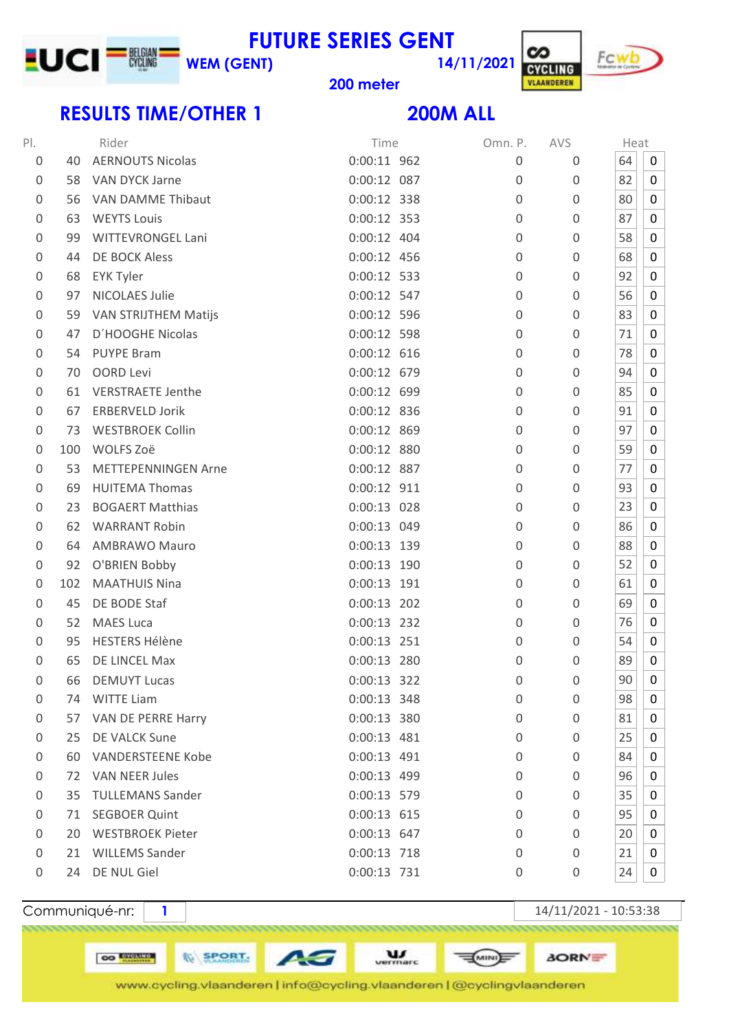### **FUTURE SERIES GENT WEM (GENT)**



### **meter**

# **RESULTS TIME/OTHER 1 200M ALL**

**LUCI TIME** 

**14/11/2021**

| PI.              |     | Rider                      | Time          | Omn. P.  | AVS         | Heat |             |
|------------------|-----|----------------------------|---------------|----------|-------------|------|-------------|
| $\overline{0}$   | 40  | <b>AERNOUTS Nicolas</b>    | $0:00:11$ 962 | $\Omega$ | 0           | 64   | 0           |
| $\boldsymbol{0}$ | 58  | VAN DYCK Jarne             | 0:00:12 087   | 0        | 0           | 82   | 0           |
| 0                | 56  | VAN DAMME Thibaut          | 0:00:12 338   | $\Omega$ | $\mathbf 0$ | 80   | 0           |
| 0                | 63  | <b>WEYTS Louis</b>         | 0:00:12 353   | $\Omega$ | 0           | 87   | 0           |
| 0                | 99  | <b>WITTEVRONGEL Lani</b>   | $0:00:12$ 404 | $\Omega$ | 0           | 58   | 0           |
| 0                | 44  | <b>DE BOCK Aless</b>       | 0:00:12 456   | 0        | 0           | 68   | 0           |
| $\overline{0}$   | 68  | <b>EYK Tyler</b>           | $0:00:12$ 533 | 0        | 0           | 92   | 0           |
| $\overline{0}$   | 97  | <b>NICOLAES Julie</b>      | 0:00:12 547   | $\Omega$ | 0           | 56   | 0           |
| 0                |     | 59 VAN STRIJTHEM Matijs    | 0:00:12 596   | $\Omega$ | 0           | 83   | 0           |
| $\overline{0}$   | 47  | D'HOOGHE Nicolas           | 0:00:12 598   | 0        | 0           | 71   | 0           |
| 0                | 54  | <b>PUYPE Bram</b>          | $0:00:12$ 616 | $\Omega$ | 0           | 78   | 0           |
| $\overline{0}$   | 70  | <b>OORD Levi</b>           | 0:00:12 679   | 0        | 0           | 94   | 0           |
| 0                | 61  | <b>VERSTRAETE Jenthe</b>   | 0:00:12 699   | 0        | 0           | 85   | 0           |
| 0                | 67  | <b>ERBERVELD Jorik</b>     | 0:00:12 836   | $\Omega$ | 0           | 91   | 0           |
| $\overline{0}$   | 73  | <b>WESTBROEK Collin</b>    | 0:00:12 869   | 0        | 0           | 97   | 0           |
| $\overline{0}$   | 100 | WOLFS Zoë                  | 0:00:12 880   | $\Omega$ | 0           | 59   | 0           |
| $\overline{0}$   | 53  | <b>METTEPENNINGEN Arne</b> | 0:00:12 887   | $\Omega$ | 0           | 77   | 0           |
| 0                | 69  | <b>HUITEMA Thomas</b>      | 0:00:12 911   | 0        | 0           | 93   | 0           |
| 0                | 23  | <b>BOGAERT Matthias</b>    | $0:00:13$ 028 | 0        | 0           | 23   | 0           |
| $\overline{0}$   | 62  | <b>WARRANT Robin</b>       | 0:00:13 049   | 0        | 0           | 86   | 0           |
| $\overline{0}$   | 64  | <b>AMBRAWO Mauro</b>       | $0:00:13$ 139 | $\Omega$ | 0           | 88   | 0           |
| 0                | 92  | O'BRIEN Bobby              | 0:00:13 190   | 0        | 0           | 52   | 0           |
| $\overline{0}$   | 102 | <b>MAATHUIS Nina</b>       | $0:00:13$ 191 | 0        | 0           | 61   | 0           |
| $\mathbf 0$      | 45  | DE BODE Staf               | $0:00:13$ 202 | 0        | $\mathbf 0$ | 69   | 0           |
| $\mathbf 0$      | 52  | <b>MAES Luca</b>           | 0:00:13 232   | 0        | 0           | 76   | 0           |
| 0                | 95  | <b>HESTERS Hélène</b>      | $0:00:13$ 251 | 0        | 0           | 54   | 0           |
| 0                | 65  | DE LINCEL Max              | 0:00:13 280   | 0        | 0           | 89   | 0           |
| 0                | 66  | <b>DEMUYT Lucas</b>        | 0:00:13 322   | 0        | 0           | 90   | $\mathbf 0$ |
| 0                | 74  | <b>WITTE Liam</b>          | 0:00:13 348   | 0        | $\mathbf 0$ | 98   | 0           |
| $\boldsymbol{0}$ | 57  | VAN DE PERRE Harry         | 0:00:13 380   | 0        | 0           | 81   | 0           |
| $\boldsymbol{0}$ | 25  | DE VALCK Sune              | $0:00:13$ 481 | 0        | 0           | 25   | 0           |
| 0                | 60  | <b>VANDERSTEENE Kobe</b>   | $0:00:13$ 491 | $\Omega$ | 0           | 84   | 0           |
| $\boldsymbol{0}$ | 72  | <b>VAN NEER Jules</b>      | 0:00:13 499   | $\Omega$ | 0           | 96   | 0           |
| $\boldsymbol{0}$ | 35  | <b>TULLEMANS Sander</b>    | 0:00:13 579   | 0        | 0           | 35   | 0           |
| 0                | 71  | <b>SEGBOER Quint</b>       | $0:00:13$ 615 | 0        | 0           | 95   | 0           |
| $\boldsymbol{0}$ | 20  | <b>WESTBROEK Pieter</b>    | 0:00:13 647   | $\Omega$ | 0           | 20   | 0           |
| 0                | 21  | <b>WILLEMS Sander</b>      | $0:00:13$ 718 | 0        | $\mathbf 0$ | 21   | 0           |
| 0                | 24  | DE NUL Giel                | 0:00:13 731   | 0        | 0           | 24   | 0           |

CO **ENCLINE** 

**WE SPORT.** 

Communiqué-nr: **1** 14/11/2021 - 10:53:38

**AORNE** 

**E** 

 $\underline{\mathbf{u}}$ AG www.cycling.vlaanderen | info@cycling.vlaanderen | @cyclingvlaanderen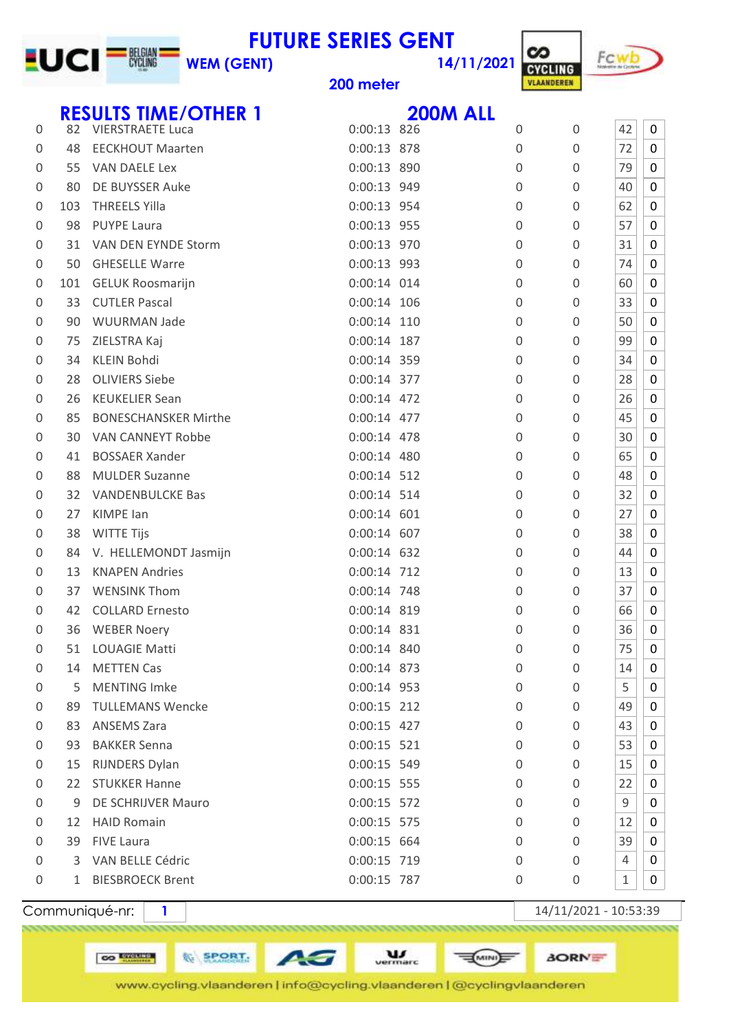### **14/11/2021 FUTURE SERIES GENT WEM (GENT)**



**meter**

**LUCI<sup>-N</sup>W** 

|   |     | <b>RESULTS TIME/OTHER 1</b> |               | <b>200M ALL</b> |             |                  |              |   |
|---|-----|-----------------------------|---------------|-----------------|-------------|------------------|--------------|---|
| 0 | 82  | <b>VIERSTRAETE Luca</b>     | $0:00:13$ 826 |                 | 0           | $\mathbf 0$      | 42           | 0 |
| 0 | 48  | <b>EECKHOUT Maarten</b>     | 0:00:13 878   |                 | 0           | $\boldsymbol{0}$ | 72           | 0 |
| 0 | 55  | VAN DAELE Lex               | 0:00:13 890   |                 | $\mathbf 0$ | 0                | 79           | 0 |
| 0 | 80  | DE BUYSSER Auke             | 0:00:13 949   |                 | $\mathbf 0$ | 0                | 40           | 0 |
| 0 | 103 | <b>THREELS Yilla</b>        | 0:00:13 954   |                 | $\Omega$    | 0                | 62           | 0 |
| 0 | 98  | <b>PUYPE Laura</b>          | 0:00:13 955   |                 | 0           | 0                | 57           | 0 |
| 0 | 31  | VAN DEN EYNDE Storm         | 0:00:13 970   |                 | $\mathbf 0$ | 0                | 31           | 0 |
| 0 | 50  | <b>GHESELLE Warre</b>       | 0:00:13 993   |                 | $\Omega$    | 0                | 74           | 0 |
| 0 | 101 | <b>GELUK Roosmarijn</b>     | $0:00:14$ 014 |                 | 0           | 0                | 60           | 0 |
| 0 | 33  | <b>CUTLER Pascal</b>        | $0:00:14$ 106 |                 | 0           | 0                | 33           | 0 |
| 0 | 90  | <b>WUURMAN Jade</b>         | $0:00:14$ 110 |                 | $\Omega$    | 0                | 50           | 0 |
| 0 | 75  | ZIELSTRA Kaj                | $0:00:14$ 187 |                 | $\mathbf 0$ | 0                | 99           | 0 |
| 0 | 34  | <b>KLEIN Bohdi</b>          | 0:00:14 359   |                 | $\Omega$    | 0                | 34           | 0 |
| 0 | 28  | <b>OLIVIERS Siebe</b>       | 0:00:14 377   |                 | $\Omega$    | 0                | 28           | 0 |
| 0 | 26  | <b>KEUKELIER Sean</b>       | 0:00:14 472   |                 | $\Omega$    | $\boldsymbol{0}$ | 26           | 0 |
| 0 | 85  | <b>BONESCHANSKER Mirthe</b> | 0:00:14 477   |                 | 0           | 0                | 45           | 0 |
| 0 | 30  | VAN CANNEYT Robbe           | $0:00:14$ 478 |                 | $\Omega$    | 0                | 30           | 0 |
| 0 | 41  | <b>BOSSAER Xander</b>       | $0:00:14$ 480 |                 | $\Omega$    | 0                | 65           | 0 |
| 0 | 88  | <b>MULDER Suzanne</b>       | 0:00:14 512   |                 | 0           | 0                | 48           | 0 |
| 0 | 32  | <b>VANDENBULCKE Bas</b>     | 0:00:14 514   |                 | 0           | 0                | 32           | 0 |
| 0 | 27  | KIMPE lan                   | $0:00:14$ 601 |                 | $\mathbf 0$ | 0                | 27           | 0 |
| 0 | 38  | <b>WITTE Tijs</b>           | $0:00:14$ 607 |                 | 0           | 0                | 38           | 0 |
| 0 | 84  | V. HELLEMONDT Jasmijn       | 0:00:14 632   |                 | 0           | 0                | 44           | 0 |
| 0 | 13  | <b>KNAPEN Andries</b>       | 0:00:14 712   |                 | $\mathbf 0$ | 0                | 13           | 0 |
| 0 | 37  | <b>WENSINK Thom</b>         | 0:00:14 748   |                 | $\mathbf 0$ | $\boldsymbol{0}$ | 37           | 0 |
| 0 | 42  | <b>COLLARD Ernesto</b>      | 0:00:14 819   |                 | $\Omega$    | 0                | 66           | 0 |
| 0 | 36  | <b>WEBER Noery</b>          | 0:00:14 831   |                 | 0           | 0                | 36           | 0 |
| 0 | 51  | <b>LOUAGIE Matti</b>        | 0:00:14 840   |                 | 0           | 0                | 75           | 0 |
| 0 | 14  | <b>METTEN Cas</b>           | 0:00:14 873   |                 | 0           | 0                | 14           | 0 |
| 0 | 5   | <b>MENTING Imke</b>         | 0:00:14 953   |                 | 0           | 0                | 5            | 0 |
| 0 | 89  | <b>TULLEMANS Wencke</b>     | $0:00:15$ 212 |                 | 0           | 0                | 49           | 0 |
| 0 | 83  | <b>ANSEMS Zara</b>          | 0:00:15 427   |                 | 0           | 0                | 43           | 0 |
| 0 | 93  | <b>BAKKER Senna</b>         | $0:00:15$ 521 |                 | 0           | 0                | 53           | 0 |
| 0 | 15  | <b>RIJNDERS Dylan</b>       | 0:00:15 549   |                 | $\Omega$    | 0                | 15           | 0 |
| 0 | 22  | <b>STUKKER Hanne</b>        | 0:00:15 555   |                 | 0           | 0                | 22           | 0 |
| 0 | 9   | DE SCHRIJVER Mauro          | 0:00:15 572   |                 | 0           | 0                | 9            | 0 |
| 0 | 12  | <b>HAID Romain</b>          | 0:00:15 575   |                 | 0           | 0                | 12           | 0 |
| 0 |     | 39 FIVE Laura               | 0:00:15 664   |                 | 0           | 0                | 39           | 0 |
| 0 |     | 3 VAN BELLE Cédric          | 0:00:15 719   |                 | $\Omega$    | 0                | 4            | 0 |
| 0 | 1   | <b>BIESBROECK Brent</b>     | 0:00:15 787   |                 | 0           | 0                | $\mathbf{1}$ | 0 |
|   |     |                             |               |                 |             |                  |              |   |

**CO EXECUTE** 

**WE SPORT.** 

Communiqué-nr: **1** 1

**AORNE** 

www.cycling.vlaanderen | info@cycling.vlaanderen | @cyclingvlaanderen

AG

 $\underline{\mathbf{u}}$ 

**EUNIDE**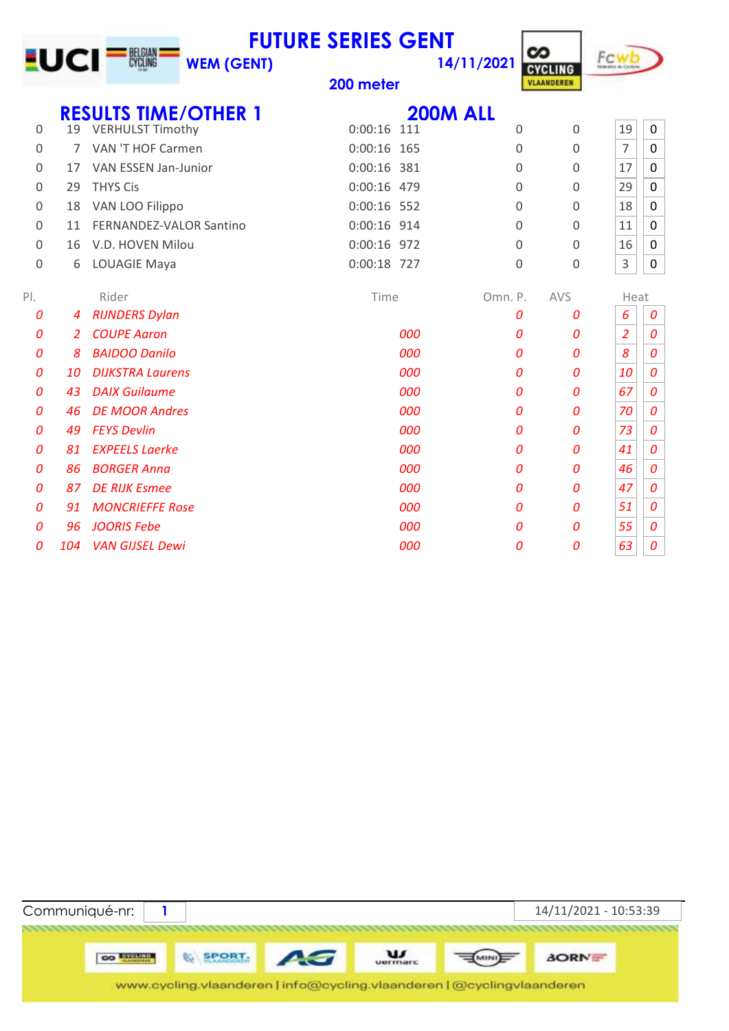|          |                |                                | <b>FUTURE SERIES GENT</b> |     |                 | တ                                   | Fcwb           |             |
|----------|----------------|--------------------------------|---------------------------|-----|-----------------|-------------------------------------|----------------|-------------|
|          |                | <b>WEM (GENT)</b>              |                           |     | 14/11/2021      | <b>CYCLING</b><br><b>VLAANDEREN</b> |                |             |
|          |                |                                | 200 meter                 |     |                 |                                     |                |             |
|          |                | <b>RESULTS TIME/OTHER 1</b>    |                           |     | <b>200M ALL</b> |                                     |                |             |
| 0        |                | 19 VERHULST Timothy            | $0:00:16$ 111             |     | $\Omega$        | 0                                   | 19             | 0           |
| 0        | $\overline{7}$ | VAN 'T HOF Carmen              | $0:00:16$ 165             |     | $\Omega$        | 0                                   | $\overline{7}$ | $\mathbf 0$ |
| 0        | 17             | VAN ESSEN Jan-Junior           | $0:00:16$ 381             |     | 0               | 0                                   | 17             | $\mathbf 0$ |
| $\Omega$ | 29             | <b>THYS Cis</b>                | 0:00:16 479               |     | $\Omega$        | 0                                   | 29             | $\mathbf 0$ |
| 0        | 18             | VAN LOO Filippo                | 0:00:16 552               |     | $\Omega$        | 0                                   | 18             | $\mathbf 0$ |
| 0        | 11             | <b>FERNANDEZ-VALOR Santino</b> | 0:00:16 914               |     | 0               | 0                                   | 11             | $\mathbf 0$ |
| 0        | 16             | V.D. HOVEN Milou               | 0:00:16 972               |     | 0               | $\mathbf 0$                         | 16             | $\mathbf 0$ |
| 0        | 6              | LOUAGIE Maya                   | 0:00:18 727               |     | 0               | 0                                   | 3              | $\pmb{0}$   |
|          |                |                                |                           |     |                 |                                     |                |             |
| $P$ .    |                | Rider                          | Time                      |     | Omn. P.         | AVS                                 | Heat           |             |
| 0        | 4              | <b>RIJNDERS Dylan</b>          |                           |     | 0               | 0                                   | 6              | 0           |
| 0        | $\overline{2}$ | <b>COUPE Aaron</b>             |                           | 000 | 0               | 0                                   | $\overline{2}$ | 0           |
| 0        | 8              | <b>BAIDOO Danilo</b>           |                           | 000 | $\Omega$        | 0                                   | 8              | 0           |
| 0        | 10             | <b>DIJKSTRA Laurens</b>        |                           | 000 | 0               | 0                                   | 10             | 0           |
| 0        | 43             | <b>DAIX Guilaume</b>           |                           | 000 | 0               | 0                                   | 67             | 0           |
| 0        | 46             | <b>DE MOOR Andres</b>          |                           | 000 | 0               | 0                                   | 70             | 0           |
| 0        | 49             | <b>FEYS Devlin</b>             |                           | 000 | 0               | 0                                   | 73             | 0           |
| 0        | 81             | <b>EXPEELS Laerke</b>          |                           | 000 | 0               | 0                                   | 41             | 0           |
| 0        | 86             | <b>BORGER Anna</b>             |                           | 000 | 0               | 0                                   | 46             | 0           |
| 0        | 87             | <b>DE RIJK Esmee</b>           |                           | 000 | 0               | 0                                   | 47             | 0           |
| 0        | 91             | <b>MONCRIEFFE Rose</b>         |                           | 000 | 0               | 0                                   | 51             | 0           |
| 0        | 96             | <b>JOORIS Febe</b>             |                           | 000 | 0               | 0                                   | 55             | 0           |
| 0        | 104            | <b>VAN GIJSEL Dewi</b>         |                           | 000 | 0               | 0                                   | 63             | 0           |

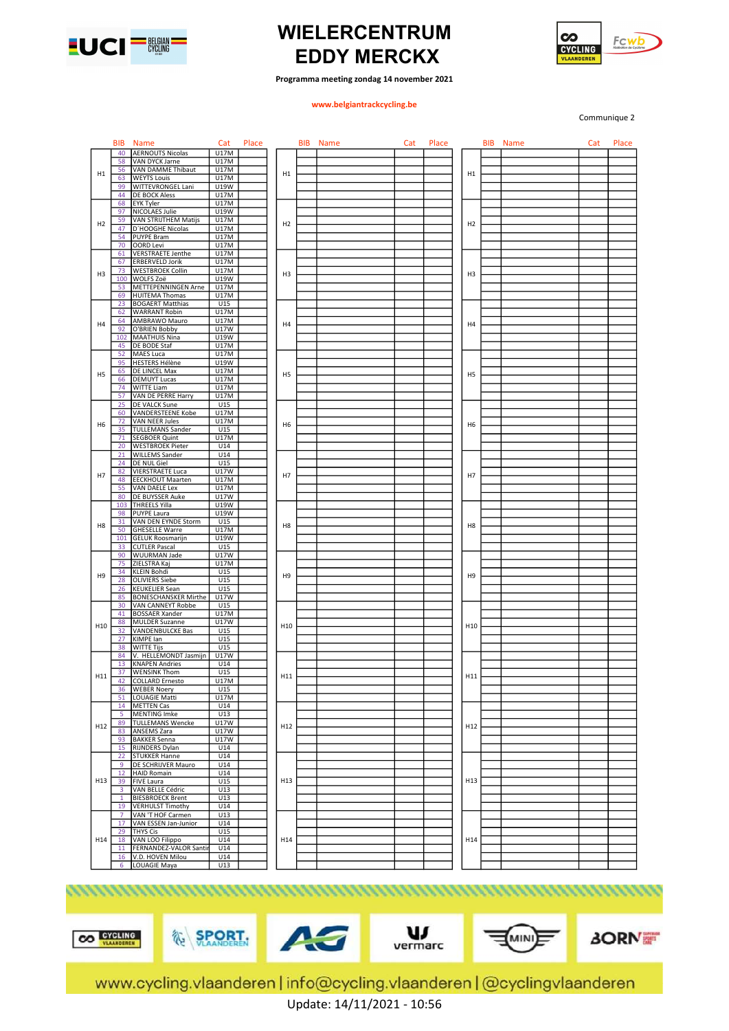



### Programma meeting zondag 14 november 2021

### www.belgiantrackcycling.be

Communique 2

| 40<br><b>AERNOUTS Nicolas</b><br>U17M<br>U17M<br>58<br>VAN DYCK Jarne<br>VAN DAMME Thibaut<br>U17M<br>56<br>H1<br>H1<br><b>WEYTS Louis</b><br>U17M<br>63<br>WITTEVRONGEL Lani<br>U19W<br>99<br>44<br>U17M<br>DE BOCK Aless<br>68<br>U17M<br>EYK Tyler<br>97<br><b>NICOLAES Julie</b><br>U19W<br><b>VAN STRIJTHEM Matijs</b><br>59<br>U17M<br>H <sub>2</sub><br>H <sub>2</sub><br>47<br>D'HOOGHE Nicolas<br>U17M<br>54<br><b>PUYPE Bram</b><br>U17M<br><b>U17M</b><br>70<br><b>OORD Levi</b><br><b>VERSTRAETE Jenthe</b><br>U17M<br>61<br>U17M<br>67<br><b>ERBERVELD Jorik</b><br>U17M<br>73<br><b>WESTBROEK Collin</b><br>H <sub>3</sub><br>H <sub>3</sub><br>H <sub>3</sub><br>U19W<br>100<br>WOLFS Zoë<br>53<br>METTEPENNINGEN Arne<br>U17M<br>69<br><b>HUITEMA Thomas</b><br>U17M<br>23<br><b>BOGAERT Matthias</b><br>U15<br>62<br><b>WARRANT Robin</b><br>U17M<br>U17M<br>64<br>AMBRAWO Mauro<br>H4<br>H4<br>O'BRIEN Bobby<br>U17W<br>92<br>102<br><b>MAATHUIS Nina</b><br>U19W<br>45<br>DE BODE Staf<br>U17M<br>52<br>MAES Luca<br>U17M<br>95<br><b>HESTERS Hélène</b><br>U19W<br>65<br>DE LINCEL Max<br>U17M<br>H5<br>H <sub>5</sub><br>U17M<br>66<br><b>DEMUYT Lucas</b><br><b>WITTE Liam</b><br>U17M<br>74<br>U17M<br>57<br>VAN DE PERRE Harry<br>U15<br>25<br>DE VALCK Sune<br>U17M<br>60<br><b>VANDERSTEENE Kobe</b><br>72<br><b>VAN NEER Jules</b><br>U17M<br>H <sub>6</sub><br>H <sub>6</sub><br>H6<br>35<br><b>TULLEMANS Sander</b><br>U15<br>U17M<br>71<br><b>SEGBOER Quint</b><br>20<br><b>WESTBROEK Pieter</b><br>U14<br>U14<br>21<br><b>WILLEMS Sander</b><br>U15<br>24<br>DE NUL Giel<br>U17W<br>82<br><b>VIERSTRAETE Luca</b><br>H7<br>H7<br>48<br><b>EECKHOUT Maarten</b><br>U17M<br>55<br>VAN DAELE Lex<br>U17M<br>U17W<br>80<br>DE BUYSSER Auke<br>103 THREELS Yilla<br>U19W<br>U19W<br>98<br><b>PUYPE Laura</b><br>VAN DEN EYNDE Storm<br>U15<br>31<br>H8<br>H <sub>8</sub><br>50<br><b>GHESELLE Warre</b><br>U17M<br>U19W<br>101<br><b>GELUK Roosmarijn</b><br>33<br>U15<br><b>CUTLER Pascal</b><br>90<br>U17W<br><b>WUURMAN Jade</b><br>75<br>ZIELSTRA Kaj<br>U17M<br>U15<br>34<br><b>KLEIN Bohdi</b><br>H <sub>9</sub><br>H <sub>9</sub><br>H <sub>9</sub><br><b>OLIVIERS Siebe</b><br>U15<br>28<br>U15<br>26<br><b>KEUKELIER Sean</b><br><b>BONESCHANSKER Mirthe</b><br>U17W<br>85<br>U15<br>30<br>VAN CANNEYT Robbe<br>41<br><b>BOSSAER Xander</b><br>U17M<br>88<br><b>MULDER Suzanne</b><br>U17W<br>H <sub>10</sub><br>H <sub>10</sub><br>32<br>VANDENBULCKE Bas<br>U15<br>27<br>KIMPE lan<br>U15<br>38<br>U15<br><b>WITTE Tijs</b><br>V. HELLEMONDT Jasmijn<br>U17W<br>84<br><b>KNAPEN Andries</b><br>U14<br>13<br>37<br><b>WENSINK Thom</b><br>U15<br>H11<br>H11<br>42<br>COLLARD Ernesto<br><b>U17M</b><br>36<br><b>WEBER Noery</b><br>U15<br>51<br>U17M<br>LOUAGIE Matti<br>14 METTEN Cas<br>U14<br>U13<br>$5 -$<br><b>MENTING Imke</b><br><b>TULLEMANS Wencke</b><br><b>U17W</b><br>89<br>H12<br>H12<br>H12<br>83<br>ANSEMS Zara<br>U17W<br><b>U17W</b><br>93<br><b>BAKKER Senna</b><br>15 RIJNDERS Dylan<br>U14<br>U14<br>22<br><b>STUKKER Hanne</b><br>9<br>DE SCHRIJVER Mauro<br>U14<br><b>HAID Romain</b><br>U14<br>12 <sup>2</sup><br><b>FIVE Laura</b><br>U15<br>H13<br>H13<br>39<br>VAN BELLE Cédric<br>3<br>U13<br>U13<br><b>BIESBROECK Brent</b><br>1<br>19<br><b>VERHULST Timothy</b><br>U14<br>U13<br>7 <sup>7</sup><br>VAN 'T HOF Carmen<br>17<br>VAN ESSEN Jan-Junior<br>U14<br>29<br><b>THYS Cis</b><br>U15<br>H14<br>H14<br>H14<br>18<br>VAN LOO Filippo<br>U14<br>FERNANDEZ-VALOR Santir<br>U14<br>11<br>U14<br>V.D. HOVEN Milou<br>16<br>6<br>LOUAGIE Maya<br>U13 |                 | BIB. | <b>Name</b> | Cat | Place | BIB | <b>Name</b> | Cat | Place |  | <b>BIB</b> Name | Cat | Place |
|----------------------------------------------------------------------------------------------------------------------------------------------------------------------------------------------------------------------------------------------------------------------------------------------------------------------------------------------------------------------------------------------------------------------------------------------------------------------------------------------------------------------------------------------------------------------------------------------------------------------------------------------------------------------------------------------------------------------------------------------------------------------------------------------------------------------------------------------------------------------------------------------------------------------------------------------------------------------------------------------------------------------------------------------------------------------------------------------------------------------------------------------------------------------------------------------------------------------------------------------------------------------------------------------------------------------------------------------------------------------------------------------------------------------------------------------------------------------------------------------------------------------------------------------------------------------------------------------------------------------------------------------------------------------------------------------------------------------------------------------------------------------------------------------------------------------------------------------------------------------------------------------------------------------------------------------------------------------------------------------------------------------------------------------------------------------------------------------------------------------------------------------------------------------------------------------------------------------------------------------------------------------------------------------------------------------------------------------------------------------------------------------------------------------------------------------------------------------------------------------------------------------------------------------------------------------------------------------------------------------------------------------------------------------------------------------------------------------------------------------------------------------------------------------------------------------------------------------------------------------------------------------------------------------------------------------------------------------------------------------------------------------------------------------------------------------------------------------------------------------------------------------------------------------------------------------------------------------------------------------------------------------------------------------------------------------------------------------------------------------------------------------------------------------------------------------------------------------------------------------------------------------------------------------------------------------------------------------------------------------|-----------------|------|-------------|-----|-------|-----|-------------|-----|-------|--|-----------------|-----|-------|
|                                                                                                                                                                                                                                                                                                                                                                                                                                                                                                                                                                                                                                                                                                                                                                                                                                                                                                                                                                                                                                                                                                                                                                                                                                                                                                                                                                                                                                                                                                                                                                                                                                                                                                                                                                                                                                                                                                                                                                                                                                                                                                                                                                                                                                                                                                                                                                                                                                                                                                                                                                                                                                                                                                                                                                                                                                                                                                                                                                                                                                                                                                                                                                                                                                                                                                                                                                                                                                                                                                                                                                                                                      |                 |      |             |     |       |     |             |     |       |  |                 |     |       |
|                                                                                                                                                                                                                                                                                                                                                                                                                                                                                                                                                                                                                                                                                                                                                                                                                                                                                                                                                                                                                                                                                                                                                                                                                                                                                                                                                                                                                                                                                                                                                                                                                                                                                                                                                                                                                                                                                                                                                                                                                                                                                                                                                                                                                                                                                                                                                                                                                                                                                                                                                                                                                                                                                                                                                                                                                                                                                                                                                                                                                                                                                                                                                                                                                                                                                                                                                                                                                                                                                                                                                                                                                      |                 |      |             |     |       |     |             |     |       |  |                 |     |       |
|                                                                                                                                                                                                                                                                                                                                                                                                                                                                                                                                                                                                                                                                                                                                                                                                                                                                                                                                                                                                                                                                                                                                                                                                                                                                                                                                                                                                                                                                                                                                                                                                                                                                                                                                                                                                                                                                                                                                                                                                                                                                                                                                                                                                                                                                                                                                                                                                                                                                                                                                                                                                                                                                                                                                                                                                                                                                                                                                                                                                                                                                                                                                                                                                                                                                                                                                                                                                                                                                                                                                                                                                                      | H1              |      |             |     |       |     |             |     |       |  |                 |     |       |
|                                                                                                                                                                                                                                                                                                                                                                                                                                                                                                                                                                                                                                                                                                                                                                                                                                                                                                                                                                                                                                                                                                                                                                                                                                                                                                                                                                                                                                                                                                                                                                                                                                                                                                                                                                                                                                                                                                                                                                                                                                                                                                                                                                                                                                                                                                                                                                                                                                                                                                                                                                                                                                                                                                                                                                                                                                                                                                                                                                                                                                                                                                                                                                                                                                                                                                                                                                                                                                                                                                                                                                                                                      |                 |      |             |     |       |     |             |     |       |  |                 |     |       |
|                                                                                                                                                                                                                                                                                                                                                                                                                                                                                                                                                                                                                                                                                                                                                                                                                                                                                                                                                                                                                                                                                                                                                                                                                                                                                                                                                                                                                                                                                                                                                                                                                                                                                                                                                                                                                                                                                                                                                                                                                                                                                                                                                                                                                                                                                                                                                                                                                                                                                                                                                                                                                                                                                                                                                                                                                                                                                                                                                                                                                                                                                                                                                                                                                                                                                                                                                                                                                                                                                                                                                                                                                      |                 |      |             |     |       |     |             |     |       |  |                 |     |       |
|                                                                                                                                                                                                                                                                                                                                                                                                                                                                                                                                                                                                                                                                                                                                                                                                                                                                                                                                                                                                                                                                                                                                                                                                                                                                                                                                                                                                                                                                                                                                                                                                                                                                                                                                                                                                                                                                                                                                                                                                                                                                                                                                                                                                                                                                                                                                                                                                                                                                                                                                                                                                                                                                                                                                                                                                                                                                                                                                                                                                                                                                                                                                                                                                                                                                                                                                                                                                                                                                                                                                                                                                                      |                 |      |             |     |       |     |             |     |       |  |                 |     |       |
|                                                                                                                                                                                                                                                                                                                                                                                                                                                                                                                                                                                                                                                                                                                                                                                                                                                                                                                                                                                                                                                                                                                                                                                                                                                                                                                                                                                                                                                                                                                                                                                                                                                                                                                                                                                                                                                                                                                                                                                                                                                                                                                                                                                                                                                                                                                                                                                                                                                                                                                                                                                                                                                                                                                                                                                                                                                                                                                                                                                                                                                                                                                                                                                                                                                                                                                                                                                                                                                                                                                                                                                                                      |                 |      |             |     |       |     |             |     |       |  |                 |     |       |
|                                                                                                                                                                                                                                                                                                                                                                                                                                                                                                                                                                                                                                                                                                                                                                                                                                                                                                                                                                                                                                                                                                                                                                                                                                                                                                                                                                                                                                                                                                                                                                                                                                                                                                                                                                                                                                                                                                                                                                                                                                                                                                                                                                                                                                                                                                                                                                                                                                                                                                                                                                                                                                                                                                                                                                                                                                                                                                                                                                                                                                                                                                                                                                                                                                                                                                                                                                                                                                                                                                                                                                                                                      | H2              |      |             |     |       |     |             |     |       |  |                 |     |       |
|                                                                                                                                                                                                                                                                                                                                                                                                                                                                                                                                                                                                                                                                                                                                                                                                                                                                                                                                                                                                                                                                                                                                                                                                                                                                                                                                                                                                                                                                                                                                                                                                                                                                                                                                                                                                                                                                                                                                                                                                                                                                                                                                                                                                                                                                                                                                                                                                                                                                                                                                                                                                                                                                                                                                                                                                                                                                                                                                                                                                                                                                                                                                                                                                                                                                                                                                                                                                                                                                                                                                                                                                                      |                 |      |             |     |       |     |             |     |       |  |                 |     |       |
|                                                                                                                                                                                                                                                                                                                                                                                                                                                                                                                                                                                                                                                                                                                                                                                                                                                                                                                                                                                                                                                                                                                                                                                                                                                                                                                                                                                                                                                                                                                                                                                                                                                                                                                                                                                                                                                                                                                                                                                                                                                                                                                                                                                                                                                                                                                                                                                                                                                                                                                                                                                                                                                                                                                                                                                                                                                                                                                                                                                                                                                                                                                                                                                                                                                                                                                                                                                                                                                                                                                                                                                                                      |                 |      |             |     |       |     |             |     |       |  |                 |     |       |
|                                                                                                                                                                                                                                                                                                                                                                                                                                                                                                                                                                                                                                                                                                                                                                                                                                                                                                                                                                                                                                                                                                                                                                                                                                                                                                                                                                                                                                                                                                                                                                                                                                                                                                                                                                                                                                                                                                                                                                                                                                                                                                                                                                                                                                                                                                                                                                                                                                                                                                                                                                                                                                                                                                                                                                                                                                                                                                                                                                                                                                                                                                                                                                                                                                                                                                                                                                                                                                                                                                                                                                                                                      |                 |      |             |     |       |     |             |     |       |  |                 |     |       |
|                                                                                                                                                                                                                                                                                                                                                                                                                                                                                                                                                                                                                                                                                                                                                                                                                                                                                                                                                                                                                                                                                                                                                                                                                                                                                                                                                                                                                                                                                                                                                                                                                                                                                                                                                                                                                                                                                                                                                                                                                                                                                                                                                                                                                                                                                                                                                                                                                                                                                                                                                                                                                                                                                                                                                                                                                                                                                                                                                                                                                                                                                                                                                                                                                                                                                                                                                                                                                                                                                                                                                                                                                      |                 |      |             |     |       |     |             |     |       |  |                 |     |       |
|                                                                                                                                                                                                                                                                                                                                                                                                                                                                                                                                                                                                                                                                                                                                                                                                                                                                                                                                                                                                                                                                                                                                                                                                                                                                                                                                                                                                                                                                                                                                                                                                                                                                                                                                                                                                                                                                                                                                                                                                                                                                                                                                                                                                                                                                                                                                                                                                                                                                                                                                                                                                                                                                                                                                                                                                                                                                                                                                                                                                                                                                                                                                                                                                                                                                                                                                                                                                                                                                                                                                                                                                                      |                 |      |             |     |       |     |             |     |       |  |                 |     |       |
|                                                                                                                                                                                                                                                                                                                                                                                                                                                                                                                                                                                                                                                                                                                                                                                                                                                                                                                                                                                                                                                                                                                                                                                                                                                                                                                                                                                                                                                                                                                                                                                                                                                                                                                                                                                                                                                                                                                                                                                                                                                                                                                                                                                                                                                                                                                                                                                                                                                                                                                                                                                                                                                                                                                                                                                                                                                                                                                                                                                                                                                                                                                                                                                                                                                                                                                                                                                                                                                                                                                                                                                                                      |                 |      |             |     |       |     |             |     |       |  |                 |     |       |
|                                                                                                                                                                                                                                                                                                                                                                                                                                                                                                                                                                                                                                                                                                                                                                                                                                                                                                                                                                                                                                                                                                                                                                                                                                                                                                                                                                                                                                                                                                                                                                                                                                                                                                                                                                                                                                                                                                                                                                                                                                                                                                                                                                                                                                                                                                                                                                                                                                                                                                                                                                                                                                                                                                                                                                                                                                                                                                                                                                                                                                                                                                                                                                                                                                                                                                                                                                                                                                                                                                                                                                                                                      |                 |      |             |     |       |     |             |     |       |  |                 |     |       |
|                                                                                                                                                                                                                                                                                                                                                                                                                                                                                                                                                                                                                                                                                                                                                                                                                                                                                                                                                                                                                                                                                                                                                                                                                                                                                                                                                                                                                                                                                                                                                                                                                                                                                                                                                                                                                                                                                                                                                                                                                                                                                                                                                                                                                                                                                                                                                                                                                                                                                                                                                                                                                                                                                                                                                                                                                                                                                                                                                                                                                                                                                                                                                                                                                                                                                                                                                                                                                                                                                                                                                                                                                      |                 |      |             |     |       |     |             |     |       |  |                 |     |       |
|                                                                                                                                                                                                                                                                                                                                                                                                                                                                                                                                                                                                                                                                                                                                                                                                                                                                                                                                                                                                                                                                                                                                                                                                                                                                                                                                                                                                                                                                                                                                                                                                                                                                                                                                                                                                                                                                                                                                                                                                                                                                                                                                                                                                                                                                                                                                                                                                                                                                                                                                                                                                                                                                                                                                                                                                                                                                                                                                                                                                                                                                                                                                                                                                                                                                                                                                                                                                                                                                                                                                                                                                                      |                 |      |             |     |       |     |             |     |       |  |                 |     |       |
|                                                                                                                                                                                                                                                                                                                                                                                                                                                                                                                                                                                                                                                                                                                                                                                                                                                                                                                                                                                                                                                                                                                                                                                                                                                                                                                                                                                                                                                                                                                                                                                                                                                                                                                                                                                                                                                                                                                                                                                                                                                                                                                                                                                                                                                                                                                                                                                                                                                                                                                                                                                                                                                                                                                                                                                                                                                                                                                                                                                                                                                                                                                                                                                                                                                                                                                                                                                                                                                                                                                                                                                                                      |                 |      |             |     |       |     |             |     |       |  |                 |     |       |
|                                                                                                                                                                                                                                                                                                                                                                                                                                                                                                                                                                                                                                                                                                                                                                                                                                                                                                                                                                                                                                                                                                                                                                                                                                                                                                                                                                                                                                                                                                                                                                                                                                                                                                                                                                                                                                                                                                                                                                                                                                                                                                                                                                                                                                                                                                                                                                                                                                                                                                                                                                                                                                                                                                                                                                                                                                                                                                                                                                                                                                                                                                                                                                                                                                                                                                                                                                                                                                                                                                                                                                                                                      | H4              |      |             |     |       |     |             |     |       |  |                 |     |       |
|                                                                                                                                                                                                                                                                                                                                                                                                                                                                                                                                                                                                                                                                                                                                                                                                                                                                                                                                                                                                                                                                                                                                                                                                                                                                                                                                                                                                                                                                                                                                                                                                                                                                                                                                                                                                                                                                                                                                                                                                                                                                                                                                                                                                                                                                                                                                                                                                                                                                                                                                                                                                                                                                                                                                                                                                                                                                                                                                                                                                                                                                                                                                                                                                                                                                                                                                                                                                                                                                                                                                                                                                                      |                 |      |             |     |       |     |             |     |       |  |                 |     |       |
|                                                                                                                                                                                                                                                                                                                                                                                                                                                                                                                                                                                                                                                                                                                                                                                                                                                                                                                                                                                                                                                                                                                                                                                                                                                                                                                                                                                                                                                                                                                                                                                                                                                                                                                                                                                                                                                                                                                                                                                                                                                                                                                                                                                                                                                                                                                                                                                                                                                                                                                                                                                                                                                                                                                                                                                                                                                                                                                                                                                                                                                                                                                                                                                                                                                                                                                                                                                                                                                                                                                                                                                                                      |                 |      |             |     |       |     |             |     |       |  |                 |     |       |
|                                                                                                                                                                                                                                                                                                                                                                                                                                                                                                                                                                                                                                                                                                                                                                                                                                                                                                                                                                                                                                                                                                                                                                                                                                                                                                                                                                                                                                                                                                                                                                                                                                                                                                                                                                                                                                                                                                                                                                                                                                                                                                                                                                                                                                                                                                                                                                                                                                                                                                                                                                                                                                                                                                                                                                                                                                                                                                                                                                                                                                                                                                                                                                                                                                                                                                                                                                                                                                                                                                                                                                                                                      |                 |      |             |     |       |     |             |     |       |  |                 |     |       |
|                                                                                                                                                                                                                                                                                                                                                                                                                                                                                                                                                                                                                                                                                                                                                                                                                                                                                                                                                                                                                                                                                                                                                                                                                                                                                                                                                                                                                                                                                                                                                                                                                                                                                                                                                                                                                                                                                                                                                                                                                                                                                                                                                                                                                                                                                                                                                                                                                                                                                                                                                                                                                                                                                                                                                                                                                                                                                                                                                                                                                                                                                                                                                                                                                                                                                                                                                                                                                                                                                                                                                                                                                      |                 |      |             |     |       |     |             |     |       |  |                 |     |       |
|                                                                                                                                                                                                                                                                                                                                                                                                                                                                                                                                                                                                                                                                                                                                                                                                                                                                                                                                                                                                                                                                                                                                                                                                                                                                                                                                                                                                                                                                                                                                                                                                                                                                                                                                                                                                                                                                                                                                                                                                                                                                                                                                                                                                                                                                                                                                                                                                                                                                                                                                                                                                                                                                                                                                                                                                                                                                                                                                                                                                                                                                                                                                                                                                                                                                                                                                                                                                                                                                                                                                                                                                                      | H <sub>5</sub>  |      |             |     |       |     |             |     |       |  |                 |     |       |
|                                                                                                                                                                                                                                                                                                                                                                                                                                                                                                                                                                                                                                                                                                                                                                                                                                                                                                                                                                                                                                                                                                                                                                                                                                                                                                                                                                                                                                                                                                                                                                                                                                                                                                                                                                                                                                                                                                                                                                                                                                                                                                                                                                                                                                                                                                                                                                                                                                                                                                                                                                                                                                                                                                                                                                                                                                                                                                                                                                                                                                                                                                                                                                                                                                                                                                                                                                                                                                                                                                                                                                                                                      |                 |      |             |     |       |     |             |     |       |  |                 |     |       |
|                                                                                                                                                                                                                                                                                                                                                                                                                                                                                                                                                                                                                                                                                                                                                                                                                                                                                                                                                                                                                                                                                                                                                                                                                                                                                                                                                                                                                                                                                                                                                                                                                                                                                                                                                                                                                                                                                                                                                                                                                                                                                                                                                                                                                                                                                                                                                                                                                                                                                                                                                                                                                                                                                                                                                                                                                                                                                                                                                                                                                                                                                                                                                                                                                                                                                                                                                                                                                                                                                                                                                                                                                      |                 |      |             |     |       |     |             |     |       |  |                 |     |       |
|                                                                                                                                                                                                                                                                                                                                                                                                                                                                                                                                                                                                                                                                                                                                                                                                                                                                                                                                                                                                                                                                                                                                                                                                                                                                                                                                                                                                                                                                                                                                                                                                                                                                                                                                                                                                                                                                                                                                                                                                                                                                                                                                                                                                                                                                                                                                                                                                                                                                                                                                                                                                                                                                                                                                                                                                                                                                                                                                                                                                                                                                                                                                                                                                                                                                                                                                                                                                                                                                                                                                                                                                                      |                 |      |             |     |       |     |             |     |       |  |                 |     |       |
|                                                                                                                                                                                                                                                                                                                                                                                                                                                                                                                                                                                                                                                                                                                                                                                                                                                                                                                                                                                                                                                                                                                                                                                                                                                                                                                                                                                                                                                                                                                                                                                                                                                                                                                                                                                                                                                                                                                                                                                                                                                                                                                                                                                                                                                                                                                                                                                                                                                                                                                                                                                                                                                                                                                                                                                                                                                                                                                                                                                                                                                                                                                                                                                                                                                                                                                                                                                                                                                                                                                                                                                                                      |                 |      |             |     |       |     |             |     |       |  |                 |     |       |
|                                                                                                                                                                                                                                                                                                                                                                                                                                                                                                                                                                                                                                                                                                                                                                                                                                                                                                                                                                                                                                                                                                                                                                                                                                                                                                                                                                                                                                                                                                                                                                                                                                                                                                                                                                                                                                                                                                                                                                                                                                                                                                                                                                                                                                                                                                                                                                                                                                                                                                                                                                                                                                                                                                                                                                                                                                                                                                                                                                                                                                                                                                                                                                                                                                                                                                                                                                                                                                                                                                                                                                                                                      |                 |      |             |     |       |     |             |     |       |  |                 |     |       |
|                                                                                                                                                                                                                                                                                                                                                                                                                                                                                                                                                                                                                                                                                                                                                                                                                                                                                                                                                                                                                                                                                                                                                                                                                                                                                                                                                                                                                                                                                                                                                                                                                                                                                                                                                                                                                                                                                                                                                                                                                                                                                                                                                                                                                                                                                                                                                                                                                                                                                                                                                                                                                                                                                                                                                                                                                                                                                                                                                                                                                                                                                                                                                                                                                                                                                                                                                                                                                                                                                                                                                                                                                      |                 |      |             |     |       |     |             |     |       |  |                 |     |       |
|                                                                                                                                                                                                                                                                                                                                                                                                                                                                                                                                                                                                                                                                                                                                                                                                                                                                                                                                                                                                                                                                                                                                                                                                                                                                                                                                                                                                                                                                                                                                                                                                                                                                                                                                                                                                                                                                                                                                                                                                                                                                                                                                                                                                                                                                                                                                                                                                                                                                                                                                                                                                                                                                                                                                                                                                                                                                                                                                                                                                                                                                                                                                                                                                                                                                                                                                                                                                                                                                                                                                                                                                                      |                 |      |             |     |       |     |             |     |       |  |                 |     |       |
|                                                                                                                                                                                                                                                                                                                                                                                                                                                                                                                                                                                                                                                                                                                                                                                                                                                                                                                                                                                                                                                                                                                                                                                                                                                                                                                                                                                                                                                                                                                                                                                                                                                                                                                                                                                                                                                                                                                                                                                                                                                                                                                                                                                                                                                                                                                                                                                                                                                                                                                                                                                                                                                                                                                                                                                                                                                                                                                                                                                                                                                                                                                                                                                                                                                                                                                                                                                                                                                                                                                                                                                                                      |                 |      |             |     |       |     |             |     |       |  |                 |     |       |
|                                                                                                                                                                                                                                                                                                                                                                                                                                                                                                                                                                                                                                                                                                                                                                                                                                                                                                                                                                                                                                                                                                                                                                                                                                                                                                                                                                                                                                                                                                                                                                                                                                                                                                                                                                                                                                                                                                                                                                                                                                                                                                                                                                                                                                                                                                                                                                                                                                                                                                                                                                                                                                                                                                                                                                                                                                                                                                                                                                                                                                                                                                                                                                                                                                                                                                                                                                                                                                                                                                                                                                                                                      |                 |      |             |     |       |     |             |     |       |  |                 |     |       |
|                                                                                                                                                                                                                                                                                                                                                                                                                                                                                                                                                                                                                                                                                                                                                                                                                                                                                                                                                                                                                                                                                                                                                                                                                                                                                                                                                                                                                                                                                                                                                                                                                                                                                                                                                                                                                                                                                                                                                                                                                                                                                                                                                                                                                                                                                                                                                                                                                                                                                                                                                                                                                                                                                                                                                                                                                                                                                                                                                                                                                                                                                                                                                                                                                                                                                                                                                                                                                                                                                                                                                                                                                      |                 |      |             |     |       |     |             |     |       |  |                 |     |       |
|                                                                                                                                                                                                                                                                                                                                                                                                                                                                                                                                                                                                                                                                                                                                                                                                                                                                                                                                                                                                                                                                                                                                                                                                                                                                                                                                                                                                                                                                                                                                                                                                                                                                                                                                                                                                                                                                                                                                                                                                                                                                                                                                                                                                                                                                                                                                                                                                                                                                                                                                                                                                                                                                                                                                                                                                                                                                                                                                                                                                                                                                                                                                                                                                                                                                                                                                                                                                                                                                                                                                                                                                                      | H7              |      |             |     |       |     |             |     |       |  |                 |     |       |
|                                                                                                                                                                                                                                                                                                                                                                                                                                                                                                                                                                                                                                                                                                                                                                                                                                                                                                                                                                                                                                                                                                                                                                                                                                                                                                                                                                                                                                                                                                                                                                                                                                                                                                                                                                                                                                                                                                                                                                                                                                                                                                                                                                                                                                                                                                                                                                                                                                                                                                                                                                                                                                                                                                                                                                                                                                                                                                                                                                                                                                                                                                                                                                                                                                                                                                                                                                                                                                                                                                                                                                                                                      |                 |      |             |     |       |     |             |     |       |  |                 |     |       |
|                                                                                                                                                                                                                                                                                                                                                                                                                                                                                                                                                                                                                                                                                                                                                                                                                                                                                                                                                                                                                                                                                                                                                                                                                                                                                                                                                                                                                                                                                                                                                                                                                                                                                                                                                                                                                                                                                                                                                                                                                                                                                                                                                                                                                                                                                                                                                                                                                                                                                                                                                                                                                                                                                                                                                                                                                                                                                                                                                                                                                                                                                                                                                                                                                                                                                                                                                                                                                                                                                                                                                                                                                      |                 |      |             |     |       |     |             |     |       |  |                 |     |       |
|                                                                                                                                                                                                                                                                                                                                                                                                                                                                                                                                                                                                                                                                                                                                                                                                                                                                                                                                                                                                                                                                                                                                                                                                                                                                                                                                                                                                                                                                                                                                                                                                                                                                                                                                                                                                                                                                                                                                                                                                                                                                                                                                                                                                                                                                                                                                                                                                                                                                                                                                                                                                                                                                                                                                                                                                                                                                                                                                                                                                                                                                                                                                                                                                                                                                                                                                                                                                                                                                                                                                                                                                                      |                 |      |             |     |       |     |             |     |       |  |                 |     |       |
|                                                                                                                                                                                                                                                                                                                                                                                                                                                                                                                                                                                                                                                                                                                                                                                                                                                                                                                                                                                                                                                                                                                                                                                                                                                                                                                                                                                                                                                                                                                                                                                                                                                                                                                                                                                                                                                                                                                                                                                                                                                                                                                                                                                                                                                                                                                                                                                                                                                                                                                                                                                                                                                                                                                                                                                                                                                                                                                                                                                                                                                                                                                                                                                                                                                                                                                                                                                                                                                                                                                                                                                                                      |                 |      |             |     |       |     |             |     |       |  |                 |     |       |
|                                                                                                                                                                                                                                                                                                                                                                                                                                                                                                                                                                                                                                                                                                                                                                                                                                                                                                                                                                                                                                                                                                                                                                                                                                                                                                                                                                                                                                                                                                                                                                                                                                                                                                                                                                                                                                                                                                                                                                                                                                                                                                                                                                                                                                                                                                                                                                                                                                                                                                                                                                                                                                                                                                                                                                                                                                                                                                                                                                                                                                                                                                                                                                                                                                                                                                                                                                                                                                                                                                                                                                                                                      | H <sub>8</sub>  |      |             |     |       |     |             |     |       |  |                 |     |       |
|                                                                                                                                                                                                                                                                                                                                                                                                                                                                                                                                                                                                                                                                                                                                                                                                                                                                                                                                                                                                                                                                                                                                                                                                                                                                                                                                                                                                                                                                                                                                                                                                                                                                                                                                                                                                                                                                                                                                                                                                                                                                                                                                                                                                                                                                                                                                                                                                                                                                                                                                                                                                                                                                                                                                                                                                                                                                                                                                                                                                                                                                                                                                                                                                                                                                                                                                                                                                                                                                                                                                                                                                                      |                 |      |             |     |       |     |             |     |       |  |                 |     |       |
|                                                                                                                                                                                                                                                                                                                                                                                                                                                                                                                                                                                                                                                                                                                                                                                                                                                                                                                                                                                                                                                                                                                                                                                                                                                                                                                                                                                                                                                                                                                                                                                                                                                                                                                                                                                                                                                                                                                                                                                                                                                                                                                                                                                                                                                                                                                                                                                                                                                                                                                                                                                                                                                                                                                                                                                                                                                                                                                                                                                                                                                                                                                                                                                                                                                                                                                                                                                                                                                                                                                                                                                                                      |                 |      |             |     |       |     |             |     |       |  |                 |     |       |
|                                                                                                                                                                                                                                                                                                                                                                                                                                                                                                                                                                                                                                                                                                                                                                                                                                                                                                                                                                                                                                                                                                                                                                                                                                                                                                                                                                                                                                                                                                                                                                                                                                                                                                                                                                                                                                                                                                                                                                                                                                                                                                                                                                                                                                                                                                                                                                                                                                                                                                                                                                                                                                                                                                                                                                                                                                                                                                                                                                                                                                                                                                                                                                                                                                                                                                                                                                                                                                                                                                                                                                                                                      |                 |      |             |     |       |     |             |     |       |  |                 |     |       |
|                                                                                                                                                                                                                                                                                                                                                                                                                                                                                                                                                                                                                                                                                                                                                                                                                                                                                                                                                                                                                                                                                                                                                                                                                                                                                                                                                                                                                                                                                                                                                                                                                                                                                                                                                                                                                                                                                                                                                                                                                                                                                                                                                                                                                                                                                                                                                                                                                                                                                                                                                                                                                                                                                                                                                                                                                                                                                                                                                                                                                                                                                                                                                                                                                                                                                                                                                                                                                                                                                                                                                                                                                      |                 |      |             |     |       |     |             |     |       |  |                 |     |       |
|                                                                                                                                                                                                                                                                                                                                                                                                                                                                                                                                                                                                                                                                                                                                                                                                                                                                                                                                                                                                                                                                                                                                                                                                                                                                                                                                                                                                                                                                                                                                                                                                                                                                                                                                                                                                                                                                                                                                                                                                                                                                                                                                                                                                                                                                                                                                                                                                                                                                                                                                                                                                                                                                                                                                                                                                                                                                                                                                                                                                                                                                                                                                                                                                                                                                                                                                                                                                                                                                                                                                                                                                                      |                 |      |             |     |       |     |             |     |       |  |                 |     |       |
|                                                                                                                                                                                                                                                                                                                                                                                                                                                                                                                                                                                                                                                                                                                                                                                                                                                                                                                                                                                                                                                                                                                                                                                                                                                                                                                                                                                                                                                                                                                                                                                                                                                                                                                                                                                                                                                                                                                                                                                                                                                                                                                                                                                                                                                                                                                                                                                                                                                                                                                                                                                                                                                                                                                                                                                                                                                                                                                                                                                                                                                                                                                                                                                                                                                                                                                                                                                                                                                                                                                                                                                                                      |                 |      |             |     |       |     |             |     |       |  |                 |     |       |
|                                                                                                                                                                                                                                                                                                                                                                                                                                                                                                                                                                                                                                                                                                                                                                                                                                                                                                                                                                                                                                                                                                                                                                                                                                                                                                                                                                                                                                                                                                                                                                                                                                                                                                                                                                                                                                                                                                                                                                                                                                                                                                                                                                                                                                                                                                                                                                                                                                                                                                                                                                                                                                                                                                                                                                                                                                                                                                                                                                                                                                                                                                                                                                                                                                                                                                                                                                                                                                                                                                                                                                                                                      |                 |      |             |     |       |     |             |     |       |  |                 |     |       |
|                                                                                                                                                                                                                                                                                                                                                                                                                                                                                                                                                                                                                                                                                                                                                                                                                                                                                                                                                                                                                                                                                                                                                                                                                                                                                                                                                                                                                                                                                                                                                                                                                                                                                                                                                                                                                                                                                                                                                                                                                                                                                                                                                                                                                                                                                                                                                                                                                                                                                                                                                                                                                                                                                                                                                                                                                                                                                                                                                                                                                                                                                                                                                                                                                                                                                                                                                                                                                                                                                                                                                                                                                      |                 |      |             |     |       |     |             |     |       |  |                 |     |       |
|                                                                                                                                                                                                                                                                                                                                                                                                                                                                                                                                                                                                                                                                                                                                                                                                                                                                                                                                                                                                                                                                                                                                                                                                                                                                                                                                                                                                                                                                                                                                                                                                                                                                                                                                                                                                                                                                                                                                                                                                                                                                                                                                                                                                                                                                                                                                                                                                                                                                                                                                                                                                                                                                                                                                                                                                                                                                                                                                                                                                                                                                                                                                                                                                                                                                                                                                                                                                                                                                                                                                                                                                                      |                 |      |             |     |       |     |             |     |       |  |                 |     |       |
|                                                                                                                                                                                                                                                                                                                                                                                                                                                                                                                                                                                                                                                                                                                                                                                                                                                                                                                                                                                                                                                                                                                                                                                                                                                                                                                                                                                                                                                                                                                                                                                                                                                                                                                                                                                                                                                                                                                                                                                                                                                                                                                                                                                                                                                                                                                                                                                                                                                                                                                                                                                                                                                                                                                                                                                                                                                                                                                                                                                                                                                                                                                                                                                                                                                                                                                                                                                                                                                                                                                                                                                                                      |                 |      |             |     |       |     |             |     |       |  |                 |     |       |
|                                                                                                                                                                                                                                                                                                                                                                                                                                                                                                                                                                                                                                                                                                                                                                                                                                                                                                                                                                                                                                                                                                                                                                                                                                                                                                                                                                                                                                                                                                                                                                                                                                                                                                                                                                                                                                                                                                                                                                                                                                                                                                                                                                                                                                                                                                                                                                                                                                                                                                                                                                                                                                                                                                                                                                                                                                                                                                                                                                                                                                                                                                                                                                                                                                                                                                                                                                                                                                                                                                                                                                                                                      | H <sub>10</sub> |      |             |     |       |     |             |     |       |  |                 |     |       |
|                                                                                                                                                                                                                                                                                                                                                                                                                                                                                                                                                                                                                                                                                                                                                                                                                                                                                                                                                                                                                                                                                                                                                                                                                                                                                                                                                                                                                                                                                                                                                                                                                                                                                                                                                                                                                                                                                                                                                                                                                                                                                                                                                                                                                                                                                                                                                                                                                                                                                                                                                                                                                                                                                                                                                                                                                                                                                                                                                                                                                                                                                                                                                                                                                                                                                                                                                                                                                                                                                                                                                                                                                      |                 |      |             |     |       |     |             |     |       |  |                 |     |       |
|                                                                                                                                                                                                                                                                                                                                                                                                                                                                                                                                                                                                                                                                                                                                                                                                                                                                                                                                                                                                                                                                                                                                                                                                                                                                                                                                                                                                                                                                                                                                                                                                                                                                                                                                                                                                                                                                                                                                                                                                                                                                                                                                                                                                                                                                                                                                                                                                                                                                                                                                                                                                                                                                                                                                                                                                                                                                                                                                                                                                                                                                                                                                                                                                                                                                                                                                                                                                                                                                                                                                                                                                                      |                 |      |             |     |       |     |             |     |       |  |                 |     |       |
|                                                                                                                                                                                                                                                                                                                                                                                                                                                                                                                                                                                                                                                                                                                                                                                                                                                                                                                                                                                                                                                                                                                                                                                                                                                                                                                                                                                                                                                                                                                                                                                                                                                                                                                                                                                                                                                                                                                                                                                                                                                                                                                                                                                                                                                                                                                                                                                                                                                                                                                                                                                                                                                                                                                                                                                                                                                                                                                                                                                                                                                                                                                                                                                                                                                                                                                                                                                                                                                                                                                                                                                                                      |                 |      |             |     |       |     |             |     |       |  |                 |     |       |
|                                                                                                                                                                                                                                                                                                                                                                                                                                                                                                                                                                                                                                                                                                                                                                                                                                                                                                                                                                                                                                                                                                                                                                                                                                                                                                                                                                                                                                                                                                                                                                                                                                                                                                                                                                                                                                                                                                                                                                                                                                                                                                                                                                                                                                                                                                                                                                                                                                                                                                                                                                                                                                                                                                                                                                                                                                                                                                                                                                                                                                                                                                                                                                                                                                                                                                                                                                                                                                                                                                                                                                                                                      |                 |      |             |     |       |     |             |     |       |  |                 |     |       |
|                                                                                                                                                                                                                                                                                                                                                                                                                                                                                                                                                                                                                                                                                                                                                                                                                                                                                                                                                                                                                                                                                                                                                                                                                                                                                                                                                                                                                                                                                                                                                                                                                                                                                                                                                                                                                                                                                                                                                                                                                                                                                                                                                                                                                                                                                                                                                                                                                                                                                                                                                                                                                                                                                                                                                                                                                                                                                                                                                                                                                                                                                                                                                                                                                                                                                                                                                                                                                                                                                                                                                                                                                      | H11             |      |             |     |       |     |             |     |       |  |                 |     |       |
|                                                                                                                                                                                                                                                                                                                                                                                                                                                                                                                                                                                                                                                                                                                                                                                                                                                                                                                                                                                                                                                                                                                                                                                                                                                                                                                                                                                                                                                                                                                                                                                                                                                                                                                                                                                                                                                                                                                                                                                                                                                                                                                                                                                                                                                                                                                                                                                                                                                                                                                                                                                                                                                                                                                                                                                                                                                                                                                                                                                                                                                                                                                                                                                                                                                                                                                                                                                                                                                                                                                                                                                                                      |                 |      |             |     |       |     |             |     |       |  |                 |     |       |
|                                                                                                                                                                                                                                                                                                                                                                                                                                                                                                                                                                                                                                                                                                                                                                                                                                                                                                                                                                                                                                                                                                                                                                                                                                                                                                                                                                                                                                                                                                                                                                                                                                                                                                                                                                                                                                                                                                                                                                                                                                                                                                                                                                                                                                                                                                                                                                                                                                                                                                                                                                                                                                                                                                                                                                                                                                                                                                                                                                                                                                                                                                                                                                                                                                                                                                                                                                                                                                                                                                                                                                                                                      |                 |      |             |     |       |     |             |     |       |  |                 |     |       |
|                                                                                                                                                                                                                                                                                                                                                                                                                                                                                                                                                                                                                                                                                                                                                                                                                                                                                                                                                                                                                                                                                                                                                                                                                                                                                                                                                                                                                                                                                                                                                                                                                                                                                                                                                                                                                                                                                                                                                                                                                                                                                                                                                                                                                                                                                                                                                                                                                                                                                                                                                                                                                                                                                                                                                                                                                                                                                                                                                                                                                                                                                                                                                                                                                                                                                                                                                                                                                                                                                                                                                                                                                      |                 |      |             |     |       |     |             |     |       |  |                 |     |       |
|                                                                                                                                                                                                                                                                                                                                                                                                                                                                                                                                                                                                                                                                                                                                                                                                                                                                                                                                                                                                                                                                                                                                                                                                                                                                                                                                                                                                                                                                                                                                                                                                                                                                                                                                                                                                                                                                                                                                                                                                                                                                                                                                                                                                                                                                                                                                                                                                                                                                                                                                                                                                                                                                                                                                                                                                                                                                                                                                                                                                                                                                                                                                                                                                                                                                                                                                                                                                                                                                                                                                                                                                                      |                 |      |             |     |       |     |             |     |       |  |                 |     |       |
|                                                                                                                                                                                                                                                                                                                                                                                                                                                                                                                                                                                                                                                                                                                                                                                                                                                                                                                                                                                                                                                                                                                                                                                                                                                                                                                                                                                                                                                                                                                                                                                                                                                                                                                                                                                                                                                                                                                                                                                                                                                                                                                                                                                                                                                                                                                                                                                                                                                                                                                                                                                                                                                                                                                                                                                                                                                                                                                                                                                                                                                                                                                                                                                                                                                                                                                                                                                                                                                                                                                                                                                                                      |                 |      |             |     |       |     |             |     |       |  |                 |     |       |
|                                                                                                                                                                                                                                                                                                                                                                                                                                                                                                                                                                                                                                                                                                                                                                                                                                                                                                                                                                                                                                                                                                                                                                                                                                                                                                                                                                                                                                                                                                                                                                                                                                                                                                                                                                                                                                                                                                                                                                                                                                                                                                                                                                                                                                                                                                                                                                                                                                                                                                                                                                                                                                                                                                                                                                                                                                                                                                                                                                                                                                                                                                                                                                                                                                                                                                                                                                                                                                                                                                                                                                                                                      |                 |      |             |     |       |     |             |     |       |  |                 |     |       |
|                                                                                                                                                                                                                                                                                                                                                                                                                                                                                                                                                                                                                                                                                                                                                                                                                                                                                                                                                                                                                                                                                                                                                                                                                                                                                                                                                                                                                                                                                                                                                                                                                                                                                                                                                                                                                                                                                                                                                                                                                                                                                                                                                                                                                                                                                                                                                                                                                                                                                                                                                                                                                                                                                                                                                                                                                                                                                                                                                                                                                                                                                                                                                                                                                                                                                                                                                                                                                                                                                                                                                                                                                      |                 |      |             |     |       |     |             |     |       |  |                 |     |       |
|                                                                                                                                                                                                                                                                                                                                                                                                                                                                                                                                                                                                                                                                                                                                                                                                                                                                                                                                                                                                                                                                                                                                                                                                                                                                                                                                                                                                                                                                                                                                                                                                                                                                                                                                                                                                                                                                                                                                                                                                                                                                                                                                                                                                                                                                                                                                                                                                                                                                                                                                                                                                                                                                                                                                                                                                                                                                                                                                                                                                                                                                                                                                                                                                                                                                                                                                                                                                                                                                                                                                                                                                                      |                 |      |             |     |       |     |             |     |       |  |                 |     |       |
|                                                                                                                                                                                                                                                                                                                                                                                                                                                                                                                                                                                                                                                                                                                                                                                                                                                                                                                                                                                                                                                                                                                                                                                                                                                                                                                                                                                                                                                                                                                                                                                                                                                                                                                                                                                                                                                                                                                                                                                                                                                                                                                                                                                                                                                                                                                                                                                                                                                                                                                                                                                                                                                                                                                                                                                                                                                                                                                                                                                                                                                                                                                                                                                                                                                                                                                                                                                                                                                                                                                                                                                                                      |                 |      |             |     |       |     |             |     |       |  |                 |     |       |
|                                                                                                                                                                                                                                                                                                                                                                                                                                                                                                                                                                                                                                                                                                                                                                                                                                                                                                                                                                                                                                                                                                                                                                                                                                                                                                                                                                                                                                                                                                                                                                                                                                                                                                                                                                                                                                                                                                                                                                                                                                                                                                                                                                                                                                                                                                                                                                                                                                                                                                                                                                                                                                                                                                                                                                                                                                                                                                                                                                                                                                                                                                                                                                                                                                                                                                                                                                                                                                                                                                                                                                                                                      |                 |      |             |     |       |     |             |     |       |  |                 |     |       |
|                                                                                                                                                                                                                                                                                                                                                                                                                                                                                                                                                                                                                                                                                                                                                                                                                                                                                                                                                                                                                                                                                                                                                                                                                                                                                                                                                                                                                                                                                                                                                                                                                                                                                                                                                                                                                                                                                                                                                                                                                                                                                                                                                                                                                                                                                                                                                                                                                                                                                                                                                                                                                                                                                                                                                                                                                                                                                                                                                                                                                                                                                                                                                                                                                                                                                                                                                                                                                                                                                                                                                                                                                      | H13             |      |             |     |       |     |             |     |       |  |                 |     |       |
|                                                                                                                                                                                                                                                                                                                                                                                                                                                                                                                                                                                                                                                                                                                                                                                                                                                                                                                                                                                                                                                                                                                                                                                                                                                                                                                                                                                                                                                                                                                                                                                                                                                                                                                                                                                                                                                                                                                                                                                                                                                                                                                                                                                                                                                                                                                                                                                                                                                                                                                                                                                                                                                                                                                                                                                                                                                                                                                                                                                                                                                                                                                                                                                                                                                                                                                                                                                                                                                                                                                                                                                                                      |                 |      |             |     |       |     |             |     |       |  |                 |     |       |
|                                                                                                                                                                                                                                                                                                                                                                                                                                                                                                                                                                                                                                                                                                                                                                                                                                                                                                                                                                                                                                                                                                                                                                                                                                                                                                                                                                                                                                                                                                                                                                                                                                                                                                                                                                                                                                                                                                                                                                                                                                                                                                                                                                                                                                                                                                                                                                                                                                                                                                                                                                                                                                                                                                                                                                                                                                                                                                                                                                                                                                                                                                                                                                                                                                                                                                                                                                                                                                                                                                                                                                                                                      |                 |      |             |     |       |     |             |     |       |  |                 |     |       |
|                                                                                                                                                                                                                                                                                                                                                                                                                                                                                                                                                                                                                                                                                                                                                                                                                                                                                                                                                                                                                                                                                                                                                                                                                                                                                                                                                                                                                                                                                                                                                                                                                                                                                                                                                                                                                                                                                                                                                                                                                                                                                                                                                                                                                                                                                                                                                                                                                                                                                                                                                                                                                                                                                                                                                                                                                                                                                                                                                                                                                                                                                                                                                                                                                                                                                                                                                                                                                                                                                                                                                                                                                      |                 |      |             |     |       |     |             |     |       |  |                 |     |       |
|                                                                                                                                                                                                                                                                                                                                                                                                                                                                                                                                                                                                                                                                                                                                                                                                                                                                                                                                                                                                                                                                                                                                                                                                                                                                                                                                                                                                                                                                                                                                                                                                                                                                                                                                                                                                                                                                                                                                                                                                                                                                                                                                                                                                                                                                                                                                                                                                                                                                                                                                                                                                                                                                                                                                                                                                                                                                                                                                                                                                                                                                                                                                                                                                                                                                                                                                                                                                                                                                                                                                                                                                                      |                 |      |             |     |       |     |             |     |       |  |                 |     |       |
|                                                                                                                                                                                                                                                                                                                                                                                                                                                                                                                                                                                                                                                                                                                                                                                                                                                                                                                                                                                                                                                                                                                                                                                                                                                                                                                                                                                                                                                                                                                                                                                                                                                                                                                                                                                                                                                                                                                                                                                                                                                                                                                                                                                                                                                                                                                                                                                                                                                                                                                                                                                                                                                                                                                                                                                                                                                                                                                                                                                                                                                                                                                                                                                                                                                                                                                                                                                                                                                                                                                                                                                                                      |                 |      |             |     |       |     |             |     |       |  |                 |     |       |
|                                                                                                                                                                                                                                                                                                                                                                                                                                                                                                                                                                                                                                                                                                                                                                                                                                                                                                                                                                                                                                                                                                                                                                                                                                                                                                                                                                                                                                                                                                                                                                                                                                                                                                                                                                                                                                                                                                                                                                                                                                                                                                                                                                                                                                                                                                                                                                                                                                                                                                                                                                                                                                                                                                                                                                                                                                                                                                                                                                                                                                                                                                                                                                                                                                                                                                                                                                                                                                                                                                                                                                                                                      |                 |      |             |     |       |     |             |     |       |  |                 |     |       |
|                                                                                                                                                                                                                                                                                                                                                                                                                                                                                                                                                                                                                                                                                                                                                                                                                                                                                                                                                                                                                                                                                                                                                                                                                                                                                                                                                                                                                                                                                                                                                                                                                                                                                                                                                                                                                                                                                                                                                                                                                                                                                                                                                                                                                                                                                                                                                                                                                                                                                                                                                                                                                                                                                                                                                                                                                                                                                                                                                                                                                                                                                                                                                                                                                                                                                                                                                                                                                                                                                                                                                                                                                      |                 |      |             |     |       |     |             |     |       |  |                 |     |       |
|                                                                                                                                                                                                                                                                                                                                                                                                                                                                                                                                                                                                                                                                                                                                                                                                                                                                                                                                                                                                                                                                                                                                                                                                                                                                                                                                                                                                                                                                                                                                                                                                                                                                                                                                                                                                                                                                                                                                                                                                                                                                                                                                                                                                                                                                                                                                                                                                                                                                                                                                                                                                                                                                                                                                                                                                                                                                                                                                                                                                                                                                                                                                                                                                                                                                                                                                                                                                                                                                                                                                                                                                                      |                 |      |             |     |       |     |             |     |       |  |                 |     |       |
|                                                                                                                                                                                                                                                                                                                                                                                                                                                                                                                                                                                                                                                                                                                                                                                                                                                                                                                                                                                                                                                                                                                                                                                                                                                                                                                                                                                                                                                                                                                                                                                                                                                                                                                                                                                                                                                                                                                                                                                                                                                                                                                                                                                                                                                                                                                                                                                                                                                                                                                                                                                                                                                                                                                                                                                                                                                                                                                                                                                                                                                                                                                                                                                                                                                                                                                                                                                                                                                                                                                                                                                                                      |                 |      |             |     |       |     |             |     |       |  |                 |     |       |
|                                                                                                                                                                                                                                                                                                                                                                                                                                                                                                                                                                                                                                                                                                                                                                                                                                                                                                                                                                                                                                                                                                                                                                                                                                                                                                                                                                                                                                                                                                                                                                                                                                                                                                                                                                                                                                                                                                                                                                                                                                                                                                                                                                                                                                                                                                                                                                                                                                                                                                                                                                                                                                                                                                                                                                                                                                                                                                                                                                                                                                                                                                                                                                                                                                                                                                                                                                                                                                                                                                                                                                                                                      |                 |      |             |     |       |     |             |     |       |  |                 |     |       |
|                                                                                                                                                                                                                                                                                                                                                                                                                                                                                                                                                                                                                                                                                                                                                                                                                                                                                                                                                                                                                                                                                                                                                                                                                                                                                                                                                                                                                                                                                                                                                                                                                                                                                                                                                                                                                                                                                                                                                                                                                                                                                                                                                                                                                                                                                                                                                                                                                                                                                                                                                                                                                                                                                                                                                                                                                                                                                                                                                                                                                                                                                                                                                                                                                                                                                                                                                                                                                                                                                                                                                                                                                      |                 |      |             |     |       |     |             |     |       |  |                 |     |       |
|                                                                                                                                                                                                                                                                                                                                                                                                                                                                                                                                                                                                                                                                                                                                                                                                                                                                                                                                                                                                                                                                                                                                                                                                                                                                                                                                                                                                                                                                                                                                                                                                                                                                                                                                                                                                                                                                                                                                                                                                                                                                                                                                                                                                                                                                                                                                                                                                                                                                                                                                                                                                                                                                                                                                                                                                                                                                                                                                                                                                                                                                                                                                                                                                                                                                                                                                                                                                                                                                                                                                                                                                                      |                 |      |             |     |       |     |             |     |       |  |                 |     |       |
|                                                                                                                                                                                                                                                                                                                                                                                                                                                                                                                                                                                                                                                                                                                                                                                                                                                                                                                                                                                                                                                                                                                                                                                                                                                                                                                                                                                                                                                                                                                                                                                                                                                                                                                                                                                                                                                                                                                                                                                                                                                                                                                                                                                                                                                                                                                                                                                                                                                                                                                                                                                                                                                                                                                                                                                                                                                                                                                                                                                                                                                                                                                                                                                                                                                                                                                                                                                                                                                                                                                                                                                                                      |                 |      |             |     |       |     |             |     |       |  |                 |     |       |
|                                                                                                                                                                                                                                                                                                                                                                                                                                                                                                                                                                                                                                                                                                                                                                                                                                                                                                                                                                                                                                                                                                                                                                                                                                                                                                                                                                                                                                                                                                                                                                                                                                                                                                                                                                                                                                                                                                                                                                                                                                                                                                                                                                                                                                                                                                                                                                                                                                                                                                                                                                                                                                                                                                                                                                                                                                                                                                                                                                                                                                                                                                                                                                                                                                                                                                                                                                                                                                                                                                                                                                                                                      |                 |      |             |     |       |     |             |     |       |  |                 |     |       |
|                                                                                                                                                                                                                                                                                                                                                                                                                                                                                                                                                                                                                                                                                                                                                                                                                                                                                                                                                                                                                                                                                                                                                                                                                                                                                                                                                                                                                                                                                                                                                                                                                                                                                                                                                                                                                                                                                                                                                                                                                                                                                                                                                                                                                                                                                                                                                                                                                                                                                                                                                                                                                                                                                                                                                                                                                                                                                                                                                                                                                                                                                                                                                                                                                                                                                                                                                                                                                                                                                                                                                                                                                      |                 |      |             |     |       |     |             |     |       |  |                 |     |       |

CO CYCLING

É,





 $\mathbf{U}$ <sub>vermarc</sub>





N

www.cycling.vlaanderen | info@cycling.vlaanderen | @cyclingvlaanderen

Update: 14/11/2021 - 10:56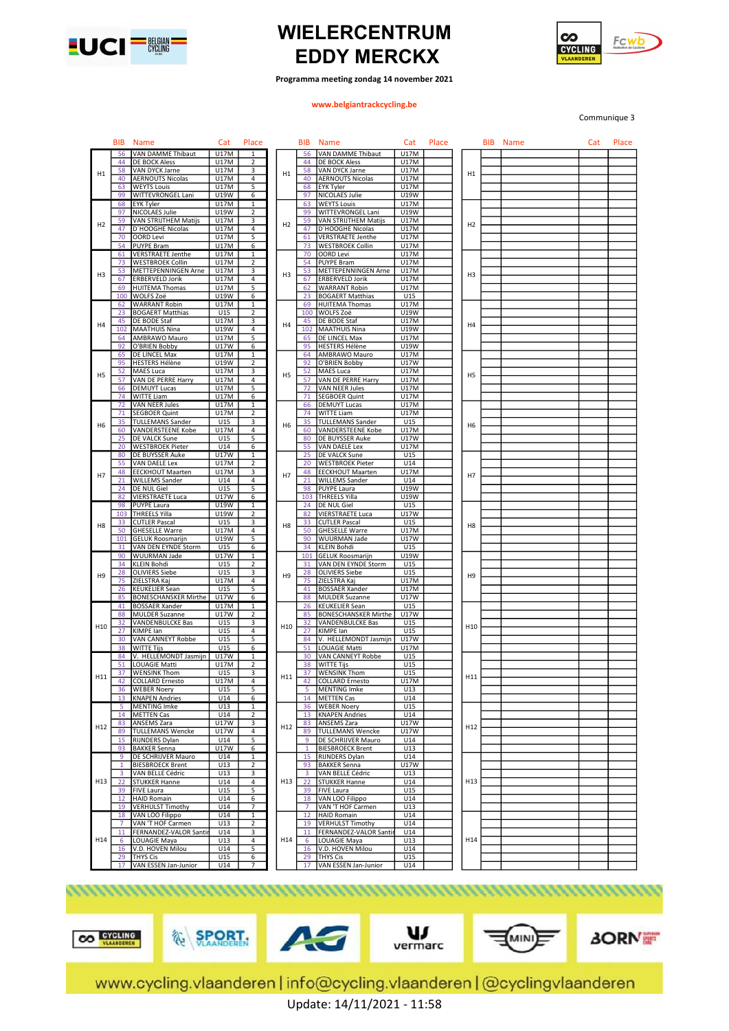



Programma meeting zondag 14 november 2021

### www.belgiantrackcycling.be

Communique 3

|                | <b>BIB</b>     | <b>Name</b>                                      | Cat         | Place          |                | <b>BIB</b>     | <b>Name</b>                 | Cat         | Place |                | <b>BIB</b> Name | Cat | Place |
|----------------|----------------|--------------------------------------------------|-------------|----------------|----------------|----------------|-----------------------------|-------------|-------|----------------|-----------------|-----|-------|
|                | 56             | VAN DAMME Thibaut                                | <b>U17M</b> | -1             |                | 56             | VAN DAMME Thibaut           | <b>U17M</b> |       |                |                 |     |       |
|                | 44             | <b>DE BOCK Aless</b>                             | U17M        | 2              |                | 44             | <b>DE BOCK Aless</b>        | U17M        |       |                |                 |     |       |
| H1             | 58             | VAN DYCK Jarne                                   | U17M        | 3              | H1             | 58             | VAN DYCK Jarne              | U17M        |       | H1             |                 |     |       |
|                | 40             | <b>AERNOUTS Nicolas</b>                          | U17M        | 4              |                | 40             | <b>AERNOUTS Nicolas</b>     | U17M        |       |                |                 |     |       |
|                | 63             | <b>WEYTS Louis</b>                               | U17M        | 5              |                | 68             | EYK Tyler                   | U17M        |       |                |                 |     |       |
|                | 99             | WITTEVRONGEL Lani                                | U19W        | 6              |                | 97             | NICOLAES Julie              | U19W        |       |                |                 |     |       |
|                | 68             | EYK Tyler                                        | U17M        | 1              |                | 63             | <b>WEYTS Louis</b>          | U17M        |       |                |                 |     |       |
|                | 97             | NICOLAES Julie                                   | U19W        | 2              |                | 99             | WITTEVRONGEL Lani           | U19W        |       |                |                 |     |       |
| H2             | 59             | VAN STRIJTHEM Matijs                             | U17M        | 3              | H2             | 59             | <b>VAN STRIJTHEM Matijs</b> | U17M        |       | H <sub>2</sub> |                 |     |       |
|                | 47             | D'HOOGHE Nicolas                                 | U17M        | 4              |                | 47             | D'HOOGHE Nicolas            | U17M        |       |                |                 |     |       |
|                | 70             | <b>OORD Levi</b>                                 | U17M        | 5              |                | 61             | <b>VERSTRAETE Jenthe</b>    | U17M        |       |                |                 |     |       |
|                | 54             | <b>PUYPE Bram</b>                                | <b>U17M</b> | 6              |                | 73             | <b>WESTBROEK Collin</b>     | U17M        |       |                |                 |     |       |
|                | 61             | <b>VERSTRAETE Jenthe</b>                         | U17M        | 1              |                | 70             | <b>OORD Levi</b>            | U17M        |       |                |                 |     |       |
|                | 73             | <b>WESTBROEK Collin</b>                          | U17M        | 2              |                | 54             | <b>PUYPE Bram</b>           | U17M        |       |                |                 |     |       |
| H <sub>3</sub> | 53             | METTEPENNINGEN Arne                              | U17M        | 3              | H <sub>3</sub> | 53             | METTEPENNINGEN Arne         | U17M        |       | H <sub>3</sub> |                 |     |       |
|                | 67             | <b>ERBERVELD Jorik</b>                           | U17M        | 4              |                | 67             | <b>ERBERVELD Jorik</b>      | U17M        |       |                |                 |     |       |
|                | 69             | <b>HUITEMA Thomas</b>                            | U17M        | 5              |                | 62             | <b>WARRANT Robin</b>        | U17M        |       |                |                 |     |       |
|                | 100            | WOLFS Zoë                                        | U19W        | 6              |                | 23             | <b>BOGAERT Matthias</b>     | U15         |       |                |                 |     |       |
|                | 62             | <b>WARRANT Robin</b>                             | U17M        | 1              |                | 69             | <b>HUITEMA Thomas</b>       | U17M        |       |                |                 |     |       |
|                | 23             | <b>BOGAERT Matthias</b>                          | U15         | 2              |                | 100            | WOLFS Zoë                   | U19W        |       |                |                 |     |       |
| H <sub>4</sub> | 45             | DE BODE Staf                                     | U17M        | 3              | H4             | 45             | DE BODE Staf                | U17M        |       | H4             |                 |     |       |
|                | 102            | <b>MAATHUIS Nina</b>                             | U19W        | 4              |                | 102            | <b>MAATHUIS Nina</b>        | U19W        |       |                |                 |     |       |
|                | 64             | AMBRAWO Mauro                                    | U17M        | 5              |                | 65             | DE LINCEL Max               | U17M        |       |                |                 |     |       |
|                | 92             | O'BRIEN Bobby                                    | <b>U17W</b> | 6              |                | 95             | <b>HESTERS Hélène</b>       | U19W        |       |                |                 |     |       |
|                | 65             | DE LINCEL Max                                    | U17M        | 1              |                | 64             | AMBRAWO Mauro               | U17M        |       |                |                 |     |       |
|                | 95             | <b>HESTERS Hélène</b>                            | U19W        | 2              |                | 92             | O'BRIEN Bobby               | U17W        |       |                |                 |     |       |
| H <sub>5</sub> | 52             | <b>MAES Luca</b>                                 | U17M        | 3              | H <sub>5</sub> | 52             | MAES Luca                   | U17M        |       | H <sub>5</sub> |                 |     |       |
|                | 57             | VAN DE PERRE Harry                               | U17M        | 4              |                | 57             | VAN DE PERRE Harry          | U17M        |       |                |                 |     |       |
|                | 66             | <b>DEMUYT Lucas</b>                              | U17M        | 5              |                | 72             | VAN NEER Jules              | U17M        |       |                |                 |     |       |
|                |                | 74 WITTE Liam                                    | U17M        | 6              |                | 71             | <b>SEGBOER Quint</b>        | U17M        |       |                |                 |     |       |
|                | 72             | <b>VAN NEER Jules</b>                            | U17M        | 1              |                | 66             | <b>DEMUYT Lucas</b>         | U17M        |       |                |                 |     |       |
|                | 71             | <b>SEGBOER Quint</b>                             | U17M        | $\overline{2}$ |                | 74             | WITTE Liam                  | U17M        |       |                |                 |     |       |
| H <sub>6</sub> | 35             | <b>TULLEMANS Sander</b>                          | U15         | 3              | H6             | 35             | <b>TULLEMANS Sander</b>     | U15         |       | H <sub>6</sub> |                 |     |       |
|                | 60             | <b>VANDERSTEENE Kobe</b>                         | U17M        | 4              |                | 60             | <b>VANDERSTEENE Kobe</b>    | U17M        |       |                |                 |     |       |
|                | 25             | DE VALCK Sune                                    | U15         | 5              |                | 80             | DE BUYSSER Auke             | U17W        |       |                |                 |     |       |
|                | 20             | <b>WESTBROEK Pieter</b>                          | U14         | 6              |                | 55             | VAN DAELE Lex               | U17M        |       |                |                 |     |       |
|                | 80             | DE BUYSSER Auke                                  | U17W        | 1              |                | 25             | DE VALCK Sune               | U15         |       |                |                 |     |       |
|                | 55             | <b>VAN DAELE Lex</b>                             | U17M        | 2              |                | 20             | <b>WESTBROEK Pieter</b>     | U14         |       |                |                 |     |       |
|                | 48             | <b>EECKHOUT Maarten</b>                          | U17M        | 3              |                | 48             | <b>EECKHOUT Maarten</b>     | U17M        |       |                |                 |     |       |
| H7             | 21             | <b>WILLEMS Sander</b>                            | U14         | 4              | H7             | 21             | <b>WILLEMS Sander</b>       | U14         |       | H7             |                 |     |       |
|                | 24             | DE NUL Giel                                      | U15         | 5              |                | 98             | <b>PUYPE Laura</b>          | U19W        |       |                |                 |     |       |
|                | 82             | <b>VIERSTRAETE Luca</b>                          | <b>U17W</b> | 6              |                | 103            | <b>THREELS Yilla</b>        | U19W        |       |                |                 |     |       |
|                | 98             | <b>PUYPE Laura</b>                               | U19W        | 1              |                | 24             | DE NUL Giel                 | U15         |       |                |                 |     |       |
|                | 103            | <b>THREELS Yilla</b>                             | U19W        | 2              |                | 82             | <b>VIERSTRAETE Luca</b>     | U17W        |       |                |                 |     |       |
|                | 33             | <b>CUTLER Pascal</b>                             | U15         | 3              |                | 33             | <b>CUTLER Pascal</b>        | U15         |       |                |                 |     |       |
| H <sub>8</sub> | 50             | <b>GHESELLE Warre</b>                            | U17M        | 4              | H8             | 50             | <b>GHESELLE Warre</b>       | U17M        |       | H <sub>8</sub> |                 |     |       |
|                | 101            | <b>GELUK Roosmarijn</b>                          | U19W        | 5              |                | 90             | WUURMAN Jade                | U17W        |       |                |                 |     |       |
|                | 31             | VAN DEN EYNDE Storm                              | U15         | 6              |                | 34             | KLEIN Bohdi                 | U15         |       |                |                 |     |       |
|                | 90             | <b>WUURMAN Jade</b>                              | U17W        | $\mathbf{1}$   |                | 101            | <b>GELUK Roosmarijn</b>     | U19W        |       |                |                 |     |       |
|                | 34             | <b>KLEIN Bohdi</b>                               | U15         | 2              |                | 31             | VAN DEN EYNDE Storm         | U15         |       |                |                 |     |       |
|                | 28             | <b>OLIVIERS Siebe</b>                            | U15         | 3              |                | 28             | <b>OLIVIERS Siebe</b>       | U15         |       |                |                 |     |       |
| H9             | 75             | ZIELSTRA Kaj                                     | U17M        | 4              | H <sub>9</sub> | 75             | ZIELSTRA Kaj                | U17M        |       | H <sub>9</sub> |                 |     |       |
|                | 26             | <b>KEUKELIER Sean</b>                            | U15         | 5              |                | 41             | <b>BOSSAER Xander</b>       | U17M        |       |                |                 |     |       |
|                | 85             | <b>BONESCHANSKER Mirthe</b>                      | U17W        | 6              |                | 88             | <b>MULDER Suzanne</b>       | U17W        |       |                |                 |     |       |
|                | 41             | <b>BOSSAER Xander</b>                            | U17M        | $\mathbf{1}$   |                | 26             | <b>KEUKELIER Sean</b>       | U15         |       |                |                 |     |       |
|                | 88             | <b>MULDER Suzanne</b>                            | U17W        | 2              |                | 85             | <b>BONESCHANSKER Mirthe</b> | U17W        |       |                |                 |     |       |
|                | 32             | VANDENBULCKE Bas                                 | U15         | 3              |                | 32             | VANDENBULCKE Bas            | U15         |       |                |                 |     |       |
| H10            | 27             | KIMPE lan                                        | U15         | 4              | H10            | 27             | KIMPE lan                   | U15         |       | H10            |                 |     |       |
|                | 30             | VAN CANNEYT Robbe                                | U15         | 5              |                | 84             | V. HELLEMONDT Jasmijn       | U17W        |       |                |                 |     |       |
|                | 38             | <b>WITTE Tijs</b>                                | U15         | 6              |                | 51             | LOUAGIE Matti               | U17M        |       |                |                 |     |       |
|                | 84             | V. HELLEMONDT Jasmijn                            | U17W        | 1              |                | 30             | VAN CANNEYT Robbe           | U15         |       |                |                 |     |       |
|                | 51             | <b>LOUAGIE Matti</b>                             | U17M        | 2              |                | 38             | WITTE Tijs                  | U15         |       |                |                 |     |       |
|                | 37             | <b>WENSINK Thom</b>                              | U15         | 3              |                | 37             | <b>WENSINK Thom</b>         | U15         |       |                |                 |     |       |
| H11            | 42             | <b>COLLARD Ernesto</b>                           | U17M        | 4              | H11            | 42             | <b>COLLARD Ernesto</b>      | U17M        |       | H11            |                 |     |       |
|                | 36             | <b>WEBER Noery</b>                               | U15         | 5              |                |                | <b>MENTING Imke</b>         | U13         |       |                |                 |     |       |
|                |                | 13 KNAPEN Andries                                | U14         | 6              |                | 14             | <b>METTEN Cas</b>           | U14         |       |                |                 |     |       |
|                | 5              | <b>MENTING Imke</b>                              | U13         | $\mathbf{1}$   |                | 36             | <b>WEBER Noery</b>          | U15         |       |                |                 |     |       |
|                | 14             | <b>METTEN Cas</b>                                | U14         | 2              |                | 13             | <b>KNAPEN Andries</b>       | U14         |       |                |                 |     |       |
|                | 83             | <b>ANSEMS Zara</b>                               | U17W        | 3              |                | 83             | ANSEMS Zara                 | U17W        |       |                |                 |     |       |
| H12            | 89             |                                                  | U17W        | 4              | H12            | 89             | <b>TULLEMANS Wencke</b>     | U17W        |       | H12            |                 |     |       |
|                | 15             | <b>TULLEMANS Wencke</b><br><b>RIJNDERS Dylan</b> | U14         | 5              |                | q              |                             | U14         |       |                |                 |     |       |
|                |                |                                                  |             |                |                |                | DE SCHRIJVER Mauro          |             |       |                |                 |     |       |
|                | 93             | <b>BAKKER Senna</b>                              | U17W        | 6              |                | $\mathbf{1}$   | <b>BIESBROECK Brent</b>     | U13         |       |                |                 |     |       |
|                | 9              | DE SCHRIJVER Mauro                               | U14         | 1              |                | 15             | RIJNDERS Dylan              | U14         |       |                |                 |     |       |
|                | $\mathbf{1}$   | <b>BIESBROECK Brent</b>                          | U13         | $\overline{2}$ |                | 93             | <b>BAKKER Senna</b>         | U17W        |       |                |                 |     |       |
|                | 3              | VAN BELLE Cédric                                 | U13         | 3              |                | 3              | VAN BELLE Cédric            | U13         |       |                |                 |     |       |
| H13            | 22             | <b>STUKKER Hanne</b>                             | U14         | 4              | H13            | 22             | <b>STUKKER Hanne</b>        | U14         |       | H13            |                 |     |       |
|                | 39             | <b>FIVE Laura</b>                                | U15         | 5              |                | 39             | <b>FIVE Laura</b>           | U15         |       |                |                 |     |       |
|                | 12             | <b>HAID Romain</b>                               | U14         | 6              |                | 18             | VAN LOO Filippo             | U14         |       |                |                 |     |       |
|                |                | 19 VERHULST Timothy                              | U14         |                |                | $\overline{7}$ | VAN 'T HOF Carmen           | U13         |       |                |                 |     |       |
|                |                | 18 VAN LOO Filippo                               | U14         | $\mathbf{1}$   |                | 12             | <b>HAID Romain</b>          | U14         |       |                |                 |     |       |
|                | $\overline{7}$ | VAN 'T HOF Carmen                                | U13         | $\overline{2}$ |                | 19             | <b>VERHULST Timothy</b>     | U14         |       |                |                 |     |       |
|                | 11             | FERNANDEZ-VALOR Santi                            | U14         | 3              |                | 11             | FERNANDEZ-VALOR Santi       | U14         |       |                |                 |     |       |
| H14            | 6              | LOUAGIE Maya                                     | U13         | 4              | H14            | 6              | LOUAGIE Maya                | U13         |       | H14            |                 |     |       |
|                | 16             | V.D. HOVEN Milou                                 | U14         | 5              |                | 16             | V.D. HOVEN Milou            | U14         |       |                |                 |     |       |
|                | 29             | <b>THYS Cis</b>                                  | U15         | 6              |                | 29             | <b>THYS Cis</b>             | U15         |       |                |                 |     |       |
|                | 17             | VAN ESSEN Jan-Junior                             | U14         | 7              |                | 17             | VAN ESSEN Jan-Junior        | U14         |       |                |                 |     |       |







 $\mathbf{u}$ 





www.cycling.vlaanderen | info@cycling.vlaanderen | @cyclingvlaanderen Update: 14/11/2021 - 11:58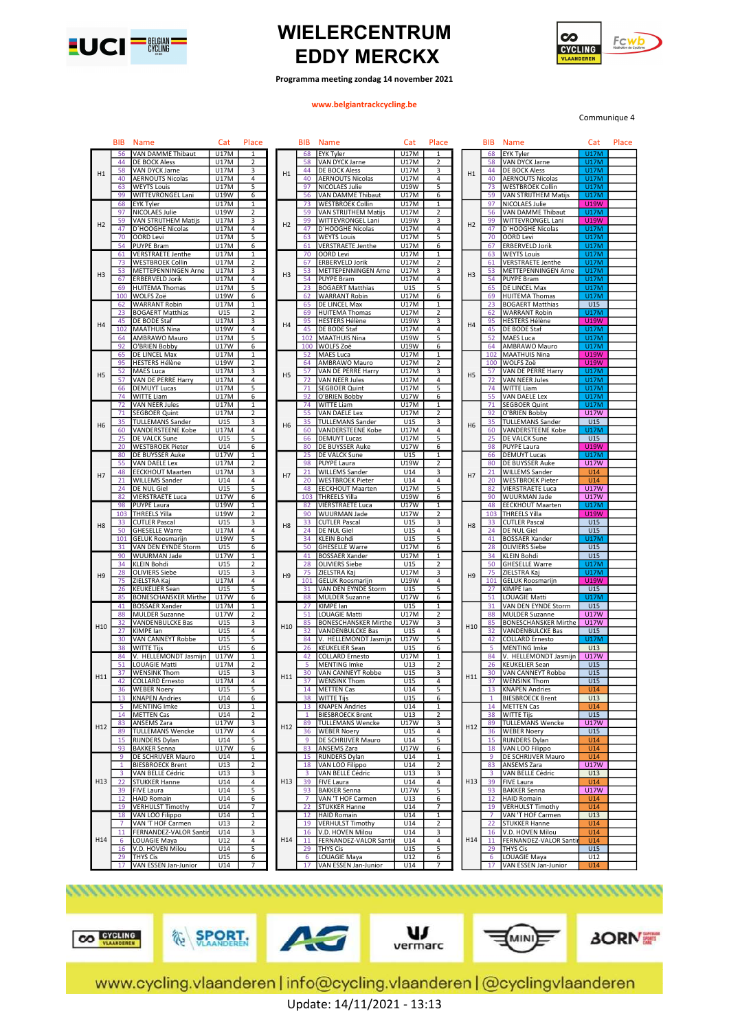



Programma meeting zondag 14 november 2021

#### www.belgiantrackcycling.be

Communique 4

|                | BIB             | <b>Name</b>                 | Cat         | Place                   |                | <b>BIB</b> | <b>Name</b>                 | Cat         | Place                   |                 | BIB             | <b>Name</b>                 | Cat         | Place |
|----------------|-----------------|-----------------------------|-------------|-------------------------|----------------|------------|-----------------------------|-------------|-------------------------|-----------------|-----------------|-----------------------------|-------------|-------|
|                | 56              | VAN DAMME Thibaut           | <b>U17M</b> | 1                       |                | 68         | <b>EYK Tyler</b>            | <b>U17M</b> | 1                       |                 | 68              | <b>EYK Tyler</b>            | <b>U17M</b> |       |
|                | 44              |                             | U17M        |                         |                | 58         | VAN DYCK Jarne              | U17M        | 2                       |                 | 58              |                             | <b>U17M</b> |       |
|                |                 | DE BOCK Aless               |             | 2                       |                |            |                             |             |                         |                 |                 | VAN DYCK Jarne              |             |       |
| H1             | 58              | VAN DYCK Jarne              | U17M        | 3                       | H1             | 44         | <b>DE BOCK Aless</b>        | U17M        | 3                       | H1              | 44              | <b>DE BOCK Aless</b>        | <b>U17M</b> |       |
|                | 40              | <b>AERNOUTS Nicolas</b>     | U17M        | 4                       |                | 40         | <b>AERNOUTS Nicolas</b>     | U17M        | 4                       |                 | 40              | <b>AERNOUTS Nicolas</b>     | <b>U17M</b> |       |
|                | 63              | <b>WEYTS Louis</b>          | U17M        | 5                       |                | 97         | NICOLAES Julie              | U19W        | 5                       |                 | 73              | <b>WESTBROEK Collin</b>     | <b>U17M</b> |       |
|                | 99              | WITTEVRONGEL Lani           | U19W        | 6                       |                | 56         | VAN DAMME Thibaut           | U17M        | 6                       |                 | 59              | VAN STRIJTHEM Matijs        | <b>U17M</b> |       |
|                | 68              | <b>EYK Tyler</b>            | U17M        | $\mathbf{1}$            |                | 73         | <b>WESTBROEK Collin</b>     | U17M        | $\mathbf{1}$            |                 | 97              | NICOLAES Julie              | <b>U19W</b> |       |
|                |                 |                             |             |                         |                |            |                             |             |                         |                 |                 |                             |             |       |
|                | 97              | NICOLAES Julie              | U19W        | $\overline{\mathbf{c}}$ |                | 59         | VAN STRIJTHEM Matijs        | U17M        | $\overline{2}$          |                 | 56              | VAN DAMME Thibaut           | <b>U17M</b> |       |
| H <sub>2</sub> | 59              | VAN STRIJTHEM Matijs        | U17M        | 3                       | H <sub>2</sub> | 99         | WITTEVRONGEL Lani           | U19W        | 3                       | H2              | 99              | WITTEVRONGEL Lani           | <b>U19W</b> |       |
|                | 47              | D'HOOGHE Nicolas            | U17M        | 4                       |                | 47         | D'HOOGHE Nicolas            | U17M        | 4                       |                 | 47              | D'HOOGHE Nicolas            | <b>U17M</b> |       |
|                | 70              | <b>OORD Levi</b>            | U17M        | 5                       |                | 63         | <b>WEYTS Louis</b>          | <b>U17M</b> | 5                       |                 | 70              | <b>OORD Levi</b>            | <b>U17M</b> |       |
|                | 54              |                             | U17M        |                         |                | 61         |                             |             |                         |                 |                 |                             | <b>U17M</b> |       |
|                |                 | <b>PUYPE Bram</b>           |             | 6                       |                |            | <b>VERSTRAETE Jenthe</b>    | U17M        | 6                       |                 | 67              | <b>ERBERVELD Jorik</b>      |             |       |
|                | 61              | <b>VERSTRAETE Jenthe</b>    | U17M        | 1                       |                | 70         | <b>OORD Levi</b>            | U17M        | 1                       |                 | 63              | <b>WEYTS Louis</b>          | <b>U17M</b> |       |
|                | 73              | <b>WESTBROEK Collin</b>     | U17M        | $\overline{\mathbf{2}}$ |                | 67         | <b>ERBERVELD Jorik</b>      | U17M        | 2                       |                 | 61              | <b>VERSTRAETE Jenthe</b>    | <b>U17M</b> |       |
|                | 53              | METTEPENNINGEN Arne         | U17M        | 3                       |                | 53         | METTEPENNINGEN Arne         | U17M        | 3                       |                 | 53              | METTEPENNINGEN Arne         | <b>U17M</b> |       |
| H <sub>3</sub> | 67              | <b>ERBERVELD Jorik</b>      | U17M        | 4                       | H <sub>3</sub> | 54         | <b>PUYPE Bram</b>           | U17M        | 4                       | H <sub>3</sub>  | 54              | <b>PUYPE Bram</b>           | <b>U17M</b> |       |
|                | 69              | <b>HUITEMA Thomas</b>       | U17M        | 5                       |                | 23         | <b>BOGAERT Matthias</b>     | U15         | 5                       |                 | 65              | DE LINCEL Max               | <b>U17M</b> |       |
|                |                 |                             |             |                         |                |            |                             |             |                         |                 |                 |                             |             |       |
|                | 100             | WOLFS Zoë                   | U19W        | 6                       |                | 62         | <b>WARRANT Robin</b>        | U17M        | 6                       |                 | 69              | <b>HUITEMA Thomas</b>       | <b>U17M</b> |       |
|                | 62              | <b>WARRANT Robin</b>        | U17M        | 1                       |                | 65         | DE LINCEL Max               | U17M        | 1                       |                 | 23              | <b>BOGAERT Matthias</b>     | U15         |       |
|                | 23              | <b>BOGAERT Matthias</b>     | U15         | 2                       |                | 69         | <b>HUITEMA Thomas</b>       | U17M        | $\overline{\mathbf{c}}$ |                 | 62              | <b>WARRANT Robin</b>        | <b>U17M</b> |       |
|                | 45              | DE BODE Staf                | U17M        | 3                       |                | 95         | <b>HESTERS Hélène</b>       | U19W        | 3                       |                 | 95              | <b>HESTERS Hélène</b>       | <b>U19W</b> |       |
| H4             | 102             | <b>MAATHUIS Nina</b>        | U19W        | 4                       | H <sub>4</sub> | 45         | DE BODE Staf                | U17M        | $\overline{4}$          | H4              | 45              | <b>DE BODE Staf</b>         | <b>U17M</b> |       |
|                |                 |                             |             |                         |                |            |                             |             |                         |                 |                 |                             |             |       |
|                | 64              | AMBRAWO Mauro               | U17M        | 5                       |                | 102        | <b>MAATHUIS Nina</b>        | U19W        | 5                       |                 | 52              | <b>MAES Luca</b>            | <b>U17M</b> |       |
|                | 92              | O'BRIEN Bobby               | <b>U17W</b> | 6                       |                | 100        | WOLFS Zoë                   | U19W        | 6                       |                 | 64              | AMBRAWO Mauro               | <b>U17M</b> |       |
|                | 65              | DE LINCEL Max               | <b>U17M</b> | $\mathbf{1}$            |                | 52         | <b>MAES Luca</b>            | U17M        | $\mathbf{1}$            |                 | 102             | <b>MAATHUIS Nina</b>        | <b>U19W</b> |       |
|                | 95              | <b>HESTERS Hélène</b>       | U19W        | 2                       |                | 64         | AMBRAWO Mauro               | U17M        | 2                       |                 | 100             | WOLFS Zoë                   | <b>U19W</b> |       |
|                | 52              | MAES Luca                   | U17M        | 3                       |                | 57         | VAN DE PERRE Harry          | U17M        | 3                       |                 | 57              | VAN DE PERRE Harry          | <b>U17M</b> |       |
| H <sub>5</sub> | 57              | VAN DE PERRE Harry          | U17M        | 4                       | H <sub>5</sub> | 72         | <b>VAN NEER Jules</b>       | U17M        | 4                       | H <sub>5</sub>  | 72              | <b>VAN NEER Jules</b>       | <b>U17M</b> |       |
|                |                 |                             |             |                         |                |            |                             |             |                         |                 |                 |                             | <b>U17M</b> |       |
|                | 66              | <b>DEMUYT Lucas</b>         | U17M        | 5                       |                | 71         | <b>SEGBOER Quint</b>        | U17M        | 5                       |                 | 74              | <b>WITTE Liam</b>           |             |       |
|                | 74              | <b>WITTE Liam</b>           | U17M        | 6                       |                | 92         | O'BRIEN Bobby               | U17W        | 6                       |                 | 55              | <b>VAN DAELE Lex</b>        | <b>U17M</b> |       |
|                | 72              | <b>VAN NEER Jules</b>       | <b>U17M</b> | $\mathbf{1}$            |                | 74         | <b>WITTE Liam</b>           | <b>U17M</b> | $\mathbf{1}$            |                 | 71              | <b>SEGBOER Quint</b>        | <b>U17M</b> |       |
|                | 71              | <b>SEGBOER Quint</b>        | U17M        | 2                       |                | 55         | VAN DAELE Lex               | U17M        | 2                       |                 | 92              | O'BRIEN Bobby               | <b>U17W</b> |       |
|                | 35              | <b>TULLEMANS Sander</b>     | U15         | 3                       |                | 35         | <b>TULLEMANS Sander</b>     | U15         | 3                       |                 | 35              | <b>TULLEMANS Sander</b>     | U15         |       |
| H <sub>6</sub> | 60              | <b>VANDERSTEENE Kobe</b>    | U17M        | 4                       | H <sub>6</sub> | 60         | VANDERSTEENE Kobe           | U17M        | 4                       | H <sub>6</sub>  | 60              | VANDERSTEENE Kobe           | <b>U17M</b> |       |
|                |                 |                             |             |                         |                |            |                             |             |                         |                 |                 |                             |             |       |
|                | 25              | DE VALCK Sune               | U15         | 5                       |                | 66         | <b>DEMUYT Lucas</b>         | U17M        | 5                       |                 | 25              | <b>DE VALCK Sune</b>        | U15         |       |
|                | 20              | <b>WESTBROEK Pieter</b>     | U14         | 6                       |                | 80         | DE BUYSSER Auke             | U17W        | 6                       |                 | 98              | <b>PUYPE Laura</b>          | <b>U19W</b> |       |
|                | 80              | DE BUYSSER Auke             | U17W        | $\mathbf{1}$            |                | 25         | <b>DE VALCK Sune</b>        | U15         | $\mathbf{1}$            |                 | 66              | <b>DEMUYT Lucas</b>         | <b>U17M</b> |       |
|                | 55              | VAN DAELE Lex               | U17M        | 2                       |                | 98         | PUYPE Laura                 | <b>U19W</b> | $\overline{2}$          |                 | 80              | <b>DE BUYSSER Auke</b>      | <b>U17W</b> |       |
|                | 48              | <b>EECKHOUT Maarten</b>     | U17M        | 3                       |                | 21         | <b>WILLEMS Sander</b>       | U14         | 3                       |                 | 21              | <b>WILLEMS Sander</b>       | U14         |       |
| H7             |                 | <b>WILLEMS Sander</b>       | U14         | 4                       | H7             |            |                             | U14         | 4                       | H7              |                 |                             | U14         |       |
|                | 21              |                             |             |                         |                | 20         | <b>WESTBROEK Pieter</b>     |             |                         |                 | 20              | <b>WESTBROEK Pieter</b>     |             |       |
|                | 24              | DE NUL Giel                 | U15         | 5                       |                | 48         | <b>EECKHOUT Maarten</b>     | U17M        | 5                       |                 | 82              | <b>VIERSTRAETE Luca</b>     | <b>U17W</b> |       |
|                | 82              | <b>VIERSTRAETE Luca</b>     | U17W        | 6                       |                | 103        | <b>THREELS Yilla</b>        | U19W        | 6                       |                 | 90              | WUURMAN Jade                | <b>U17W</b> |       |
|                | 98              | <b>PUYPE Laura</b>          | U19W        | $\mathbf{1}$            |                | 82         | VIERSTRAETE Luca            | U17W        | 1                       |                 | 48              | <b>EECKHOUT Maarten</b>     | <b>U17M</b> |       |
|                | 103             | <b>THREELS Yilla</b>        | U19W        | $\overline{\mathbf{2}}$ |                | 90         | WUURMAN Jade                | U17W        | 2                       |                 | 103             | <b>THREELS Yilla</b>        | <b>U19W</b> |       |
|                | 33              | <b>CUTLER Pascal</b>        | U15         | 3                       |                | 33         | <b>CUTLER Pascal</b>        | U15         | 3                       |                 | 33              | <b>CUTLER Pascal</b>        | U15         |       |
| H <sub>8</sub> |                 |                             |             |                         | H <sub>8</sub> |            |                             |             |                         | H <sub>8</sub>  |                 |                             |             |       |
|                | 50              | <b>GHESELLE Warre</b>       | U17M        | 4                       |                | 24         | DE NUL Giel                 | U15         | 4                       |                 | 24              | <b>DE NUL Giel</b>          | U15         |       |
|                | 101             | <b>GELUK Roosmarijn</b>     | U19W        | 5                       |                | 34         | <b>KLEIN Bohdi</b>          | U15         | 5                       |                 | 41              | <b>BOSSAER Xander</b>       | U17M        |       |
|                | 31              | VAN DEN EYNDE Storm         | U15         | 6                       |                | 50         | <b>GHESELLE Warre</b>       | <b>U17M</b> | 6                       |                 | 28              | <b>OLIVIERS Siebe</b>       | U15         |       |
|                | 90              | <b>WUURMAN Jade</b>         | <b>U17W</b> | $\mathbf{1}$            |                | 41         | <b>BOSSAER Xander</b>       | <b>U17M</b> | $\mathbf 1$             |                 | 34              | <b>KLEIN Bohdi</b>          | U15         |       |
|                | 34              | <b>KLEIN Bohdi</b>          | U15         | $\overline{\mathbf{c}}$ |                | 28         | <b>OLIVIERS Siebe</b>       | U15         | $\overline{2}$          |                 | 50              | <b>GHESELLE Warre</b>       | <b>U17M</b> |       |
|                | 28              | <b>OLIVIERS Siebe</b>       | U15         | 3                       |                | 75         | ZIELSTRA Kaj                | U17M        | 3                       |                 | 75              | ZIELSTRA Kaj                | <b>U17M</b> |       |
| H <sub>9</sub> |                 |                             |             |                         | H <sub>9</sub> |            |                             |             |                         | H <sub>9</sub>  |                 |                             |             |       |
|                | 75              | ZIELSTRA Kaj                | U17M        | 4                       |                | 101        | <b>GELUK Roosmarijn</b>     | U19W        | 4                       |                 | 101             | <b>GELUK Roosmarijn</b>     | <b>U19W</b> |       |
|                | 26              | <b>KEUKELIER Sean</b>       | U15         | 5                       |                | 31         | VAN DEN EYNDE Storm         | U15         | 5                       |                 | 27              | KIMPE lan                   | U15         |       |
|                | 85              | <b>BONESCHANSKER Mirthe</b> | U17W        | 6                       |                | 88         | <b>MULDER Suzanne</b>       | U17W        | 6                       |                 | 51              | LOUAGIE Matti               | <b>U17M</b> |       |
|                | 41              | <b>BOSSAER Xander</b>       | U17M        | $\mathbf{1}$            |                | 27         | KIMPE lan                   | U15         | 1                       |                 | 31              | VAN DEN EYNDE Storm         | U15         |       |
|                | 88              | <b>MULDER Suzanne</b>       | U17W        | $\overline{\mathbf{c}}$ |                | 51         | OUAGIE Matti                | U17M        | $\overline{c}$          |                 | 88              | <b>MULDER Suzanne</b>       | <b>U17W</b> |       |
|                | 32              | <b>VANDENBULCKE Bas</b>     | U15         | 3                       |                | 85         | <b>BONESCHANSKER Mirthe</b> | U17W        | 3                       |                 | 85              | <b>BONESCHANSKER Mirthe</b> | <b>U17W</b> |       |
| H10            | 27              | KIMPE lan                   | U15         | 4                       | H10            | 32         | VANDENBULCKE Bas            | U15         | 4                       | H <sub>10</sub> | 32              | VANDENBULCKE Bas            | U15         |       |
|                |                 |                             |             |                         |                |            |                             |             |                         |                 |                 |                             |             |       |
|                | 30              | VAN CANNEYT Robbe           | U15         | 5                       |                | 84         | V. HELLEMONDT Jasmijn       | U17W        | 5                       |                 | 42              | <b>COLLARD Ernesto</b>      | <b>U17M</b> |       |
|                | 38              | <b>WITTE Tiis</b>           | U15         | 6                       |                | 26         | <b>KEUKELIER Sean</b>       | U15         | 6                       |                 | 5               | <b>MENTING Imke</b>         | U13         |       |
|                | 84              | V. HELLEMONDT Jasmijn       | <b>U17W</b> | 1                       |                | 42         | <b>COLLARD Ernesto</b>      | <b>U17M</b> | 1                       |                 | 84              | V. HELLEMONDT Jasmijn       | <b>U17W</b> |       |
|                | 51              | <b>LOUAGIE Matti</b>        | U17M        | 2                       |                | 5          | <b>MENTING Imke</b>         | U13         | 2                       |                 | 26              | <b>KEUKELIER Sean</b>       | U15         |       |
|                | 37              | <b>WENSINK Thom</b>         | U15         | 3                       |                | 30         | VAN CANNEYT Robbe           | U15         | 3                       |                 | 30              | VAN CANNEYT Robbe           | U15         |       |
| H11            | 42              | <b>COLLARD Ernesto</b>      | U17M        | 4                       | H11            | 37         | <b>WENSINK Thom</b>         | U15         | 4                       | H11             | 37              | <b>WENSINK Thom</b>         | U15         |       |
|                |                 |                             |             |                         |                |            |                             |             |                         |                 |                 |                             |             |       |
|                | 36.             | <b>WEBER Noery</b>          | U15         | 5                       |                |            | 14   METTEN Cas             | U14         | 5                       |                 |                 | 13 KNAPEN Andries           | U14         |       |
|                |                 | 13 KNAPEN Andries           | U14         | 6                       |                | 38         | <b>WITTE Tijs</b>           | U15         | 6                       |                 | $\mathbf{1}$    | <b>BIESBROECK Brent</b>     | U13         |       |
|                | 5               | <b>MENTING Imke</b>         | U13         | 1                       |                | 13         | <b>KNAPEN Andries</b>       | U14         | 1                       |                 | 14              | <b>METTEN Cas</b>           | U14         |       |
|                | 14              | <b>METTEN Cas</b>           | U14         | 2                       |                | 1          | <b>BIESBROECK Brent</b>     | U13         | 2                       |                 | 38              | <b>WITTE Tijs</b>           | U15         |       |
|                | 83              | <b>ANSEMS Zara</b>          | U17W        | 3                       |                | 89         | <b>TULLEMANS Wencke</b>     | <b>U17W</b> | 3                       |                 | 89              | <b>TULLEMANS Wencke</b>     | <b>U17W</b> |       |
| H12            | 89              | <b>TULLEMANS Wencke</b>     | U17W        | 4                       | H12            | 36         | <b>WEBER Noery</b>          | U15         | 4                       | H12             | 36              | <b>WEBER Noery</b>          | U15         |       |
|                | 15              | <b>RIJNDERS Dylan</b>       | U14         | 5                       |                | 9          | DE SCHRIJVER Mauro          | U14         | 5                       |                 | 15              | RIJNDERS Dylan              | U14         |       |
|                |                 |                             |             |                         |                |            |                             |             |                         |                 |                 |                             |             |       |
|                | 93              | <b>BAKKER Senna</b>         | U17W        | 6                       |                | 83         | <b>ANSEMS Zara</b>          | U17W        | 6                       |                 | 18              | VAN LOO Filippo             | U14         |       |
|                | 9               | DE SCHRIJVER Mauro          | U14         | $\mathbf{1}$            |                | 15         | RIJNDERS Dylan              | U14         | 1                       |                 | 9               | DE SCHRIJVER Mauro          | U14         |       |
|                | $\mathbf{1}$    | <b>BIESBROECK Brent</b>     | U13         | 2                       |                | 18         | VAN LOO Filippo             | U14         | $\overline{\mathbf{c}}$ |                 | 83              | ANSEMS Zara                 | <b>U17W</b> |       |
|                | 3               | VAN BELLE Cédric            | U13         | 3                       |                | 3          | VAN BELLE Cédric            | U13         | 3                       |                 | 3               | VAN BELLE Cédric            | U13         |       |
| H13            | 22              | <b>STUKKER Hanne</b>        | U14         | 4                       | H13            | 39         | <b>FIVE Laura</b>           | U14         | 4                       | H13             | 39              | <b>FIVE Laura</b>           | U14         |       |
|                | 39              | <b>FIVE Laura</b>           |             | 5                       |                | 93         |                             |             |                         |                 | 93              |                             |             |       |
|                |                 |                             | U14         |                         |                |            | <b>BAKKER Senna</b>         | U17W        | 5                       |                 |                 | <b>BAKKER Senna</b>         | <b>U17W</b> |       |
|                | 12 <sup>2</sup> | <b>HAID Romain</b>          | U14         | 6                       |                |            | VAN 'T HOF Carmen           | U13         | 6                       |                 | 12 <sup>2</sup> | <b>HAID Romain</b>          | U14         |       |
|                | 19              | <b>VERHULST Timothy</b>     | U14         | 7                       |                | 22         | <b>STUKKER Hanne</b>        | U14         | 7                       |                 | 19              | <b>VERHULST Timothy</b>     | U14         |       |
|                | 18              | VAN LOO Filippo             | U14         | $1\,$                   |                | 12         | <b>HAID Romain</b>          | U14         | $\mathbf{1}$            |                 | 7               | VAN 'T HOF Carmen           | U13         |       |
|                |                 | VAN 'T HOF Carmen           | U13         | 2                       |                | 19         | <b>VERHULST Timothy</b>     | U14         | $\mathbf 2$             |                 | 22              | <b>STUKKER Hanne</b>        | U14         |       |
|                | 11              | FERNANDEZ-VALOR Santir      | U14         | 3                       |                | 16         | V.D. HOVEN Milou            | U14         | 3                       |                 | 16              | V.D. HOVEN Milou            | U14         |       |
| H14            |                 |                             |             |                         | H14            |            |                             |             |                         | H14             |                 | FERNANDEZ-VALOR Santir      |             |       |
|                | 6               | LOUAGIE Maya                | U12         | 4                       |                | 11         | FERNANDEZ-VALOR Santi       | U14         | 4                       |                 | 11              |                             | U14         |       |
|                | 16              | V.D. HOVEN Milou            | U14         | 5                       |                | 29         | THYS Cis                    | U15         | 5                       |                 | 29              | THYS Cis                    | U15         |       |
|                | 29              | <b>THYS Cis</b>             | U15         | 6                       |                | 6          | LOUAGIE Maya                | U12         | 6                       |                 | 6               | LOUAGIE Maya                | U12         |       |
|                | 17              | VAN ESSEN Jan-Junior        | U14         | $\overline{7}$          |                | 17         | VAN ESSEN Jan-Junior        | U14         | 7                       |                 | 17              | VAN ESSEN Jan-Junior        | U14         |       |
|                |                 |                             |             |                         |                |            |                             |             |                         |                 |                 |                             |             |       |
|                |                 |                             |             |                         |                |            |                             |             |                         |                 |                 |                             |             |       |













www.cycling.vlaanderen | info@cycling.vlaanderen | @cyclingvlaanderen Update: 14/11/2021 - 13:13